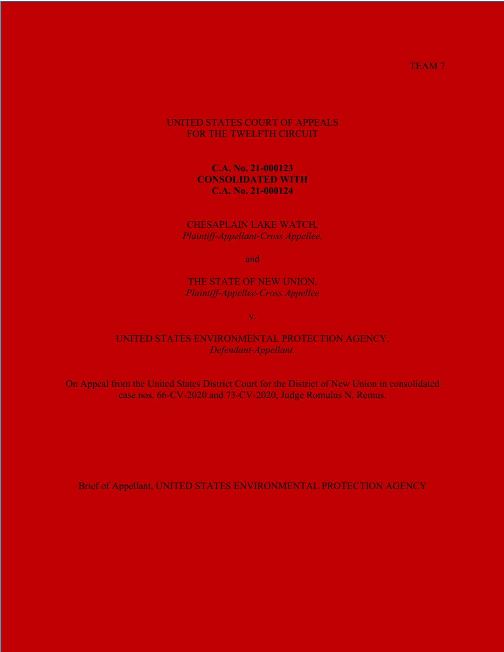TEAM<sub>7</sub>

## UNITED STATES COURT OF APPEALS FOR THE TWELFTH CIRCUIT

## **C.A. No. 21-000123 CONSOLIDATED WITH C.A. No. 21-000124**

### CHESAPLAIN LAKE WATCH, *Plaintiff-Appellant-Cross Appellee,*

and

THE STATE OF NEW UNION, *Plaintiff-Appellee-Cross Appellee*

v.

### UNITED STATES ENVIRONMENTAL PROTECTION AGENCY, *Defendant-Appellant.*

On Appeal from the United States District Court for the District of New Union in consolidated case nos. 66-CV-2020 and 73-CV-2020, Judge Romulus N. Remus.

Brief of Appellant, UNITED STATES ENVIRONMENTAL PROTECTION AGENCY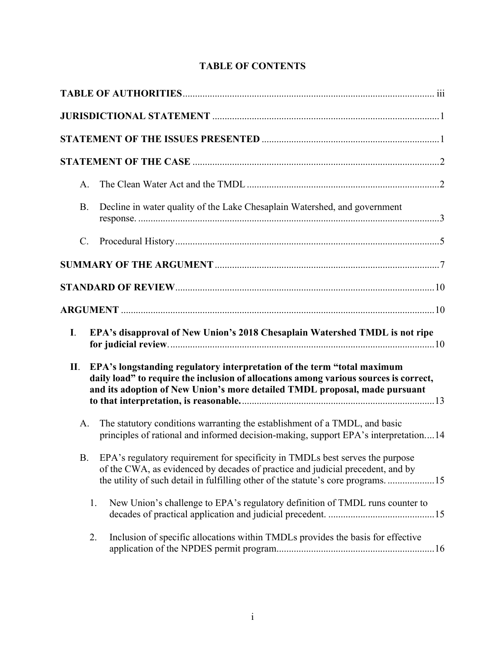| A.             |                                                                                                                                                                                                                                                         |
|----------------|---------------------------------------------------------------------------------------------------------------------------------------------------------------------------------------------------------------------------------------------------------|
| <b>B.</b>      | Decline in water quality of the Lake Chesaplain Watershed, and government                                                                                                                                                                               |
| $\mathbf{C}$ . |                                                                                                                                                                                                                                                         |
|                |                                                                                                                                                                                                                                                         |
|                |                                                                                                                                                                                                                                                         |
|                |                                                                                                                                                                                                                                                         |
| I.             | EPA's disapproval of New Union's 2018 Chesaplain Watershed TMDL is not ripe                                                                                                                                                                             |
| П.             | EPA's longstanding regulatory interpretation of the term "total maximum<br>daily load" to require the inclusion of allocations among various sources is correct,<br>and its adoption of New Union's more detailed TMDL proposal, made pursuant          |
| A.             | The statutory conditions warranting the establishment of a TMDL, and basic<br>principles of rational and informed decision-making, support EPA's interpretation14                                                                                       |
|                | B. EPA's regulatory requirement for specificity in TMDLs best serves the purpose<br>of the CWA, as evidenced by decades of practice and judicial precedent, and by<br>the utility of such detail in fulfilling other of the statute's core programs. 15 |
| 1.             | New Union's challenge to EPA's regulatory definition of TMDL runs counter to                                                                                                                                                                            |
| 2.             | Inclusion of specific allocations within TMDLs provides the basis for effective                                                                                                                                                                         |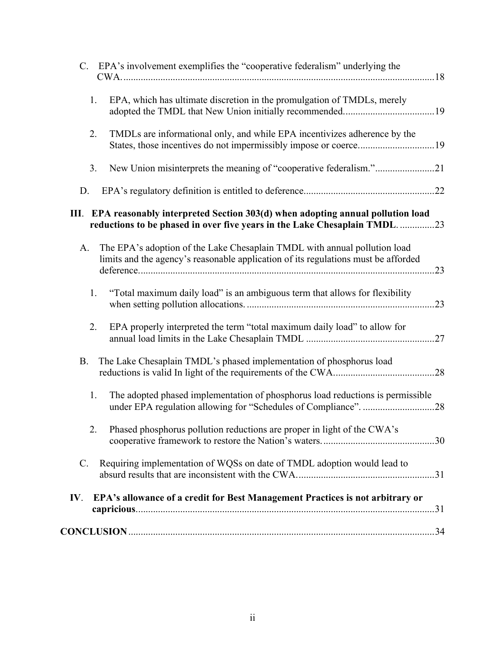|           | C. EPA's involvement exemplifies the "cooperative federalism" underlying the                                                                                     |  |
|-----------|------------------------------------------------------------------------------------------------------------------------------------------------------------------|--|
| 1.        | EPA, which has ultimate discretion in the promulgation of TMDLs, merely                                                                                          |  |
| 2.        | TMDLs are informational only, and while EPA incentivizes adherence by the                                                                                        |  |
| 3.        | New Union misinterprets the meaning of "cooperative federalism."21                                                                                               |  |
| D.        |                                                                                                                                                                  |  |
|           | III. EPA reasonably interpreted Section 303(d) when adopting annual pollution load<br>reductions to be phased in over five years in the Lake Chesaplain TMDL. 23 |  |
| A.        | The EPA's adoption of the Lake Chesaplain TMDL with annual pollution load<br>limits and the agency's reasonable application of its regulations must be afforded  |  |
| 1.        | "Total maximum daily load" is an ambiguous term that allows for flexibility                                                                                      |  |
| 2.        | EPA properly interpreted the term "total maximum daily load" to allow for                                                                                        |  |
| <b>B.</b> | The Lake Chesaplain TMDL's phased implementation of phosphorus load                                                                                              |  |
| 1.        | The adopted phased implementation of phosphorus load reductions is permissible                                                                                   |  |
| 2.        | Phased phosphorus pollution reductions are proper in light of the CWA's                                                                                          |  |
| C.        | Requiring implementation of WQSs on date of TMDL adoption would lead to                                                                                          |  |
| IV.       | EPA's allowance of a credit for Best Management Practices is not arbitrary or                                                                                    |  |
|           |                                                                                                                                                                  |  |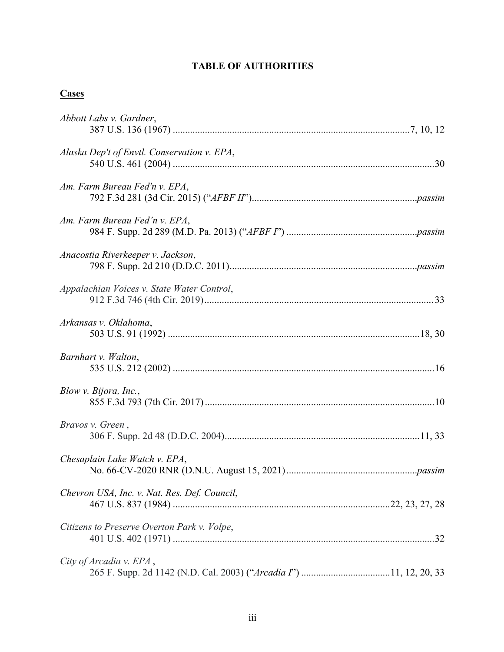# **TABLE OF AUTHORITIES**

# **Cases**

| Abbott Labs v. Gardner,                      |
|----------------------------------------------|
| Alaska Dep't of Envtl. Conservation v. EPA,  |
| Am. Farm Bureau Fed'n v. EPA,                |
| Am. Farm Bureau Fed'n v. EPA,                |
| Anacostia Riverkeeper v. Jackson,            |
| Appalachian Voices v. State Water Control,   |
| Arkansas v. Oklahoma,                        |
| Barnhart v. Walton,                          |
| Blow v. Bijora, Inc.,                        |
| Bravos v. Green,                             |
| Chesaplain Lake Watch v. EPA,                |
| Chevron USA, Inc. v. Nat. Res. Def. Council, |
| Citizens to Preserve Overton Park v. Volpe,  |
| City of Arcadia v. EPA,                      |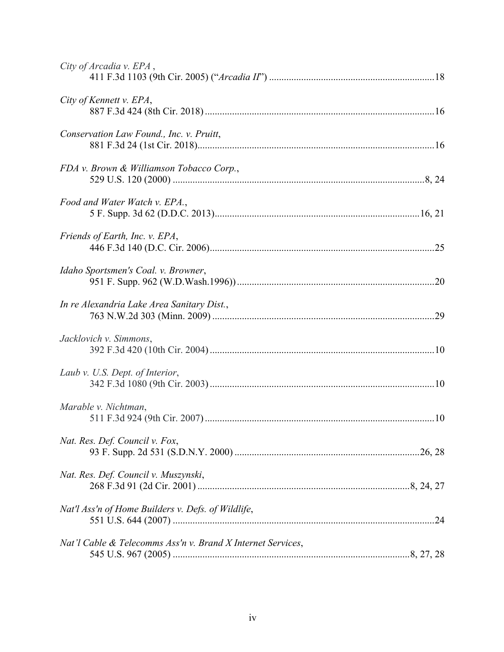| City of Arcadia v. EPA,                                     |
|-------------------------------------------------------------|
| City of Kennett v. EPA,                                     |
| Conservation Law Found., Inc. v. Pruitt,                    |
| FDA v. Brown & Williamson Tobacco Corp.,                    |
| Food and Water Watch v. EPA.,                               |
| Friends of Earth, Inc. v. EPA,                              |
| Idaho Sportsmen's Coal. v. Browner,                         |
| In re Alexandria Lake Area Sanitary Dist.,                  |
| Jacklovich v. Simmons,                                      |
| Laub v. U.S. Dept. of Interior,                             |
| Marable v. Nichtman,                                        |
| Nat. Res. Def. Council v. Fox,                              |
| Nat. Res. Def. Council v. Muszynski,                        |
| Nat'l Ass'n of Home Builders v. Defs. of Wildlife,          |
| Nat'l Cable & Telecomms Ass'n v. Brand X Internet Services, |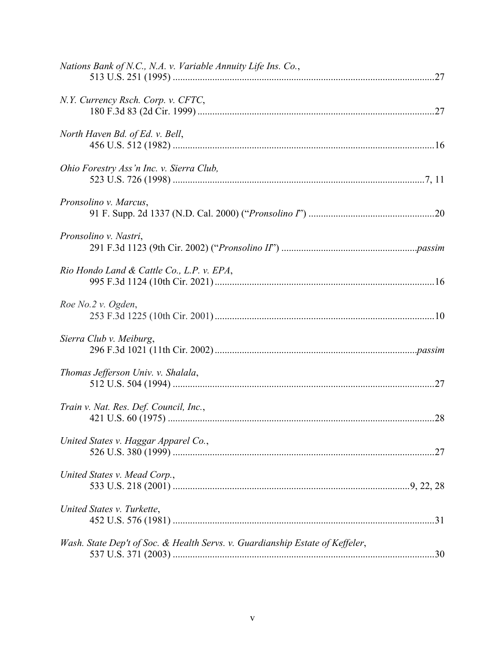| Nations Bank of N.C., N.A. v. Variable Annuity Life Ins. Co.,                 |  |
|-------------------------------------------------------------------------------|--|
| N.Y. Currency Rsch. Corp. v. CFTC,                                            |  |
| North Haven Bd. of Ed. v. Bell,                                               |  |
| Ohio Forestry Ass'n Inc. v. Sierra Club,                                      |  |
| Pronsolino v. Marcus,                                                         |  |
| Pronsolino v. Nastri,                                                         |  |
| Rio Hondo Land & Cattle Co., L.P. v. EPA,                                     |  |
| Roe No.2 v. Ogden,                                                            |  |
| Sierra Club v. Meiburg,                                                       |  |
| Thomas Jefferson Univ. v. Shalala,                                            |  |
| Train v. Nat. Res. Def. Council, Inc.,                                        |  |
| United States v. Haggar Apparel Co.,                                          |  |
| United States v. Mead Corp.,                                                  |  |
| United States v. Turkette,                                                    |  |
| Wash. State Dep't of Soc. & Health Servs. v. Guardianship Estate of Keffeler, |  |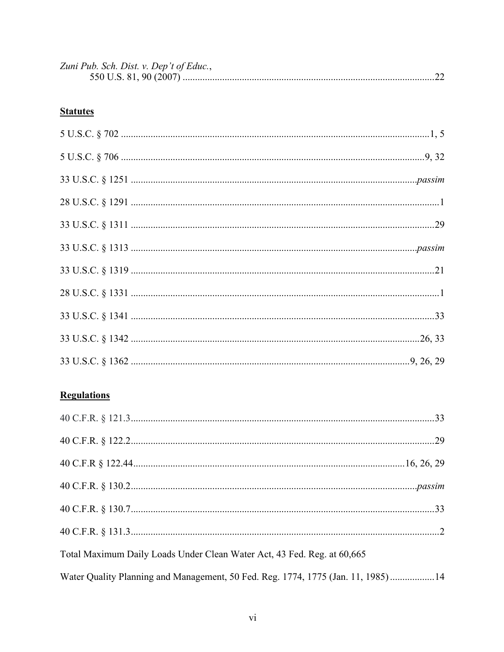| Zuni Pub. Sch. Dist. v. Dep't of Educ., |  |
|-----------------------------------------|--|
|                                         |  |

# **Statutes**

# **Regulations**

| Total Maximum Daily Loads Under Clean Water Act, 43 Fed. Reg. at 60,665          |  |
|----------------------------------------------------------------------------------|--|
| Water Quality Planning and Management, 50 Fed. Reg. 1774, 1775 (Jan. 11, 1985)14 |  |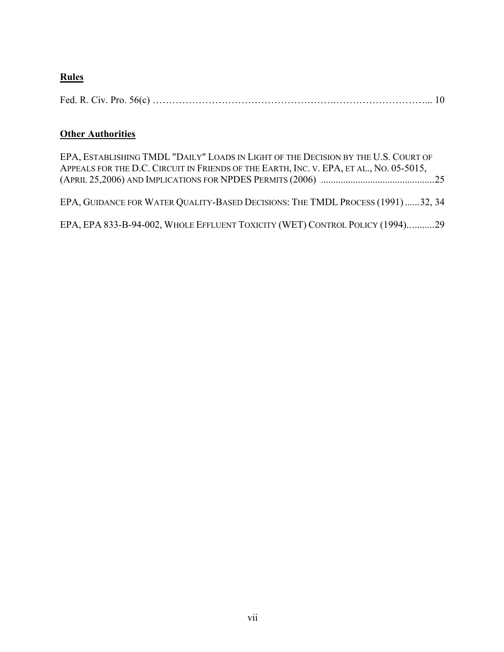# **Rules**

|--|--|--|--|--|

# **Other Authorities**

| EPA, ESTABLISHING TMDL "DAILY" LOADS IN LIGHT OF THE DECISION BY THE U.S. COURT OF<br>APPEALS FOR THE D.C. CIRCUIT IN FRIENDS OF THE EARTH, INC. V. EPA, ET AL., NO. 05-5015, |  |
|-------------------------------------------------------------------------------------------------------------------------------------------------------------------------------|--|
| EPA, GUIDANCE FOR WATER QUALITY-BASED DECISIONS: THE TMDL PROCESS (1991)32, 34                                                                                                |  |
| EPA, EPA 833-B-94-002, WHOLE EFFLUENT TOXICITY (WET) CONTROL POLICY (1994)29                                                                                                  |  |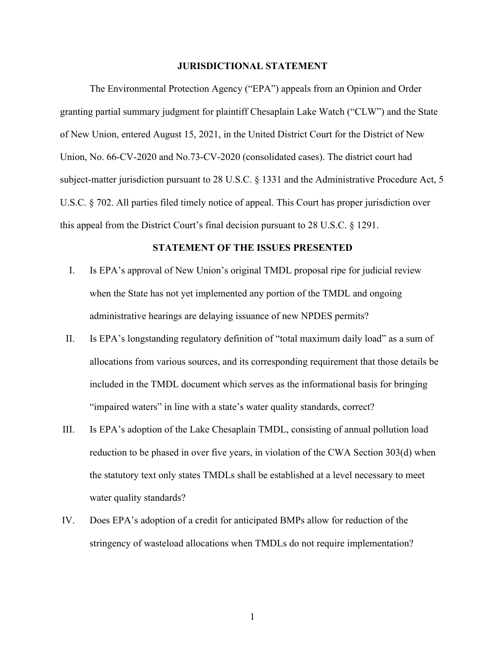#### **JURISDICTIONAL STATEMENT**

The Environmental Protection Agency ("EPA") appeals from an Opinion and Order granting partial summary judgment for plaintiff Chesaplain Lake Watch ("CLW") and the State of New Union, entered August 15, 2021, in the United District Court for the District of New Union, No. 66-CV-2020 and No.73-CV-2020 (consolidated cases). The district court had subject-matter jurisdiction pursuant to 28 U.S.C. § 1331 and the Administrative Procedure Act, 5 U.S.C. § 702. All parties filed timely notice of appeal. This Court has proper jurisdiction over this appeal from the District Court's final decision pursuant to 28 U.S.C. § 1291.

#### **STATEMENT OF THE ISSUES PRESENTED**

- I. Is EPA's approval of New Union's original TMDL proposal ripe for judicial review when the State has not yet implemented any portion of the TMDL and ongoing administrative hearings are delaying issuance of new NPDES permits?
- II. Is EPA's longstanding regulatory definition of "total maximum daily load" as a sum of allocations from various sources, and its corresponding requirement that those details be included in the TMDL document which serves as the informational basis for bringing "impaired waters" in line with a state's water quality standards, correct?
- III. Is EPA's adoption of the Lake Chesaplain TMDL, consisting of annual pollution load reduction to be phased in over five years, in violation of the CWA Section 303(d) when the statutory text only states TMDLs shall be established at a level necessary to meet water quality standards?
- IV. Does EPA's adoption of a credit for anticipated BMPs allow for reduction of the stringency of wasteload allocations when TMDLs do not require implementation?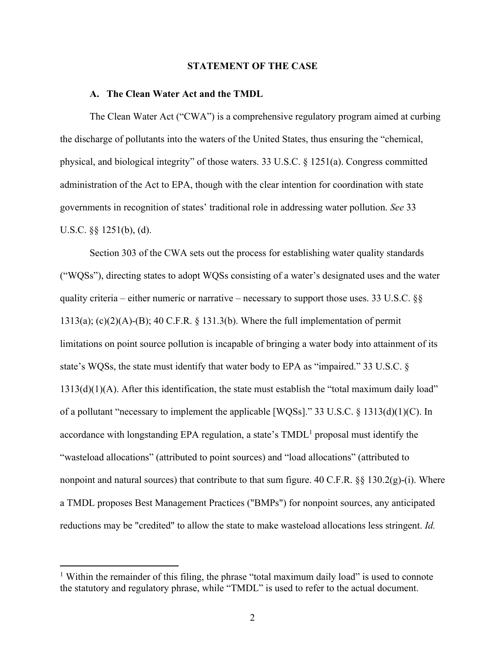#### **STATEMENT OF THE CASE**

#### **A. The Clean Water Act and the TMDL**

 The Clean Water Act ("CWA") is a comprehensive regulatory program aimed at curbing the discharge of pollutants into the waters of the United States, thus ensuring the "chemical, physical, and biological integrity" of those waters. 33 U.S.C. § 1251(a). Congress committed administration of the Act to EPA, though with the clear intention for coordination with state governments in recognition of states' traditional role in addressing water pollution. *See* 33 U.S.C. §§ 1251(b), (d).

 Section 303 of the CWA sets out the process for establishing water quality standards ("WQSs"), directing states to adopt WQSs consisting of a water's designated uses and the water quality criteria – either numeric or narrative – necessary to support those uses. 33 U.S.C.  $\S$ § 1313(a); (c)(2)(A)-(B); 40 C.F.R. § 131.3(b). Where the full implementation of permit limitations on point source pollution is incapable of bringing a water body into attainment of its state's WQSs, the state must identify that water body to EPA as "impaired." 33 U.S.C. § 1313(d)(1)(A). After this identification, the state must establish the "total maximum daily load" of a pollutant "necessary to implement the applicable [WQSs]." 33 U.S.C. § 1313(d)(1)(C). In accordance with longstanding EPA regulation, a state's  $TMDL<sup>1</sup>$  proposal must identify the "wasteload allocations" (attributed to point sources) and "load allocations" (attributed to nonpoint and natural sources) that contribute to that sum figure. 40 C.F.R.  $\S$ § 130.2(g)-(i). Where a TMDL proposes Best Management Practices ("BMPs") for nonpoint sources, any anticipated reductions may be "credited" to allow the state to make wasteload allocations less stringent. *Id.*

<sup>&</sup>lt;sup>1</sup> Within the remainder of this filing, the phrase "total maximum daily load" is used to connote the statutory and regulatory phrase, while "TMDL" is used to refer to the actual document.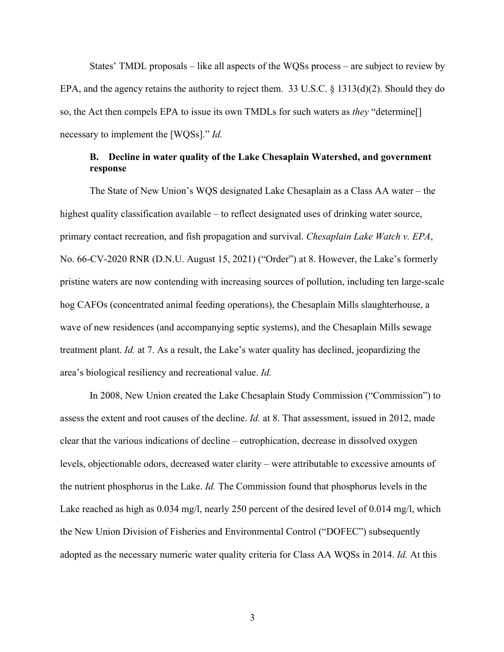States' TMDL proposals – like all aspects of the WQSs process – are subject to review by EPA, and the agency retains the authority to reject them. 33 U.S.C. § 1313(d)(2). Should they do so, the Act then compels EPA to issue its own TMDLs for such waters as *they* "determine[] necessary to implement the [WQSs]." *Id.*

## **B. Decline in water quality of the Lake Chesaplain Watershed, and government response**

 The State of New Union's WQS designated Lake Chesaplain as a Class AA water – the highest quality classification available – to reflect designated uses of drinking water source, primary contact recreation, and fish propagation and survival. *Chesaplain Lake Watch v. EPA*, No. 66-CV-2020 RNR (D.N.U. August 15, 2021) ("Order") at 8. However, the Lake's formerly pristine waters are now contending with increasing sources of pollution, including ten large-scale hog CAFOs (concentrated animal feeding operations), the Chesaplain Mills slaughterhouse, a wave of new residences (and accompanying septic systems), and the Chesaplain Mills sewage treatment plant. *Id.* at 7. As a result, the Lake's water quality has declined, jeopardizing the area's biological resiliency and recreational value. *Id.*

 In 2008, New Union created the Lake Chesaplain Study Commission ("Commission") to assess the extent and root causes of the decline. *Id.* at 8. That assessment, issued in 2012, made clear that the various indications of decline – eutrophication, decrease in dissolved oxygen levels, objectionable odors, decreased water clarity – were attributable to excessive amounts of the nutrient phosphorus in the Lake. *Id.* The Commission found that phosphorus levels in the Lake reached as high as 0.034 mg/l, nearly 250 percent of the desired level of 0.014 mg/l, which the New Union Division of Fisheries and Environmental Control ("DOFEC") subsequently adopted as the necessary numeric water quality criteria for Class AA WQSs in 2014. *Id.* At this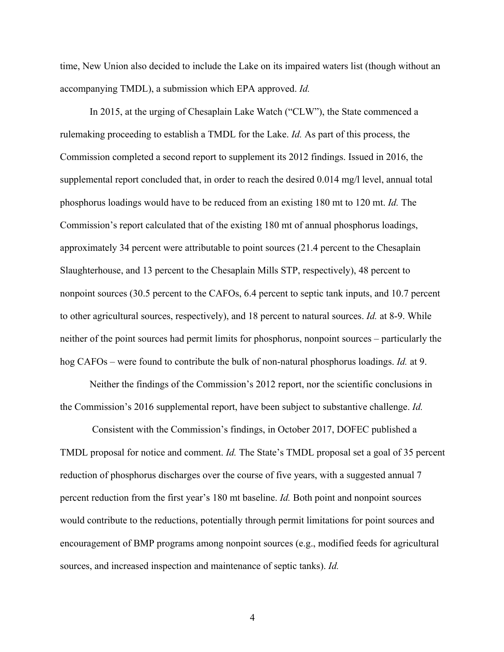time, New Union also decided to include the Lake on its impaired waters list (though without an accompanying TMDL), a submission which EPA approved. *Id.*

 In 2015, at the urging of Chesaplain Lake Watch ("CLW"), the State commenced a rulemaking proceeding to establish a TMDL for the Lake. *Id.* As part of this process, the Commission completed a second report to supplement its 2012 findings. Issued in 2016, the supplemental report concluded that, in order to reach the desired 0.014 mg/l level, annual total phosphorus loadings would have to be reduced from an existing 180 mt to 120 mt. *Id.* The Commission's report calculated that of the existing 180 mt of annual phosphorus loadings, approximately 34 percent were attributable to point sources (21.4 percent to the Chesaplain Slaughterhouse, and 13 percent to the Chesaplain Mills STP, respectively), 48 percent to nonpoint sources (30.5 percent to the CAFOs, 6.4 percent to septic tank inputs, and 10.7 percent to other agricultural sources, respectively), and 18 percent to natural sources. *Id.* at 8-9. While neither of the point sources had permit limits for phosphorus, nonpoint sources – particularly the hog CAFOs – were found to contribute the bulk of non-natural phosphorus loadings. *Id.* at 9.

 Neither the findings of the Commission's 2012 report, nor the scientific conclusions in the Commission's 2016 supplemental report, have been subject to substantive challenge. *Id.*

 Consistent with the Commission's findings, in October 2017, DOFEC published a TMDL proposal for notice and comment. *Id.* The State's TMDL proposal set a goal of 35 percent reduction of phosphorus discharges over the course of five years, with a suggested annual 7 percent reduction from the first year's 180 mt baseline. *Id.* Both point and nonpoint sources would contribute to the reductions, potentially through permit limitations for point sources and encouragement of BMP programs among nonpoint sources (e.g., modified feeds for agricultural sources, and increased inspection and maintenance of septic tanks). *Id.*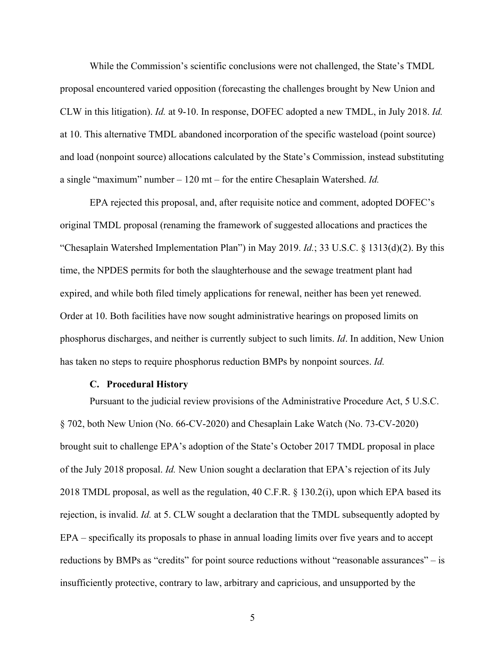While the Commission's scientific conclusions were not challenged, the State's TMDL proposal encountered varied opposition (forecasting the challenges brought by New Union and CLW in this litigation). *Id.* at 9-10. In response, DOFEC adopted a new TMDL, in July 2018. *Id.*  at 10. This alternative TMDL abandoned incorporation of the specific wasteload (point source) and load (nonpoint source) allocations calculated by the State's Commission, instead substituting a single "maximum" number – 120 mt – for the entire Chesaplain Watershed. *Id.* 

 EPA rejected this proposal, and, after requisite notice and comment, adopted DOFEC's original TMDL proposal (renaming the framework of suggested allocations and practices the "Chesaplain Watershed Implementation Plan") in May 2019. *Id.*; 33 U.S.C. § 1313(d)(2). By this time, the NPDES permits for both the slaughterhouse and the sewage treatment plant had expired, and while both filed timely applications for renewal, neither has been yet renewed. Order at 10. Both facilities have now sought administrative hearings on proposed limits on phosphorus discharges, and neither is currently subject to such limits. *Id*. In addition, New Union has taken no steps to require phosphorus reduction BMPs by nonpoint sources. *Id.*

#### **C. Procedural History**

 Pursuant to the judicial review provisions of the Administrative Procedure Act, 5 U.S.C. § 702, both New Union (No. 66-CV-2020) and Chesaplain Lake Watch (No. 73-CV-2020) brought suit to challenge EPA's adoption of the State's October 2017 TMDL proposal in place of the July 2018 proposal. *Id.* New Union sought a declaration that EPA's rejection of its July 2018 TMDL proposal, as well as the regulation, 40 C.F.R. § 130.2(i), upon which EPA based its rejection, is invalid. *Id.* at 5. CLW sought a declaration that the TMDL subsequently adopted by EPA – specifically its proposals to phase in annual loading limits over five years and to accept reductions by BMPs as "credits" for point source reductions without "reasonable assurances" – is insufficiently protective, contrary to law, arbitrary and capricious, and unsupported by the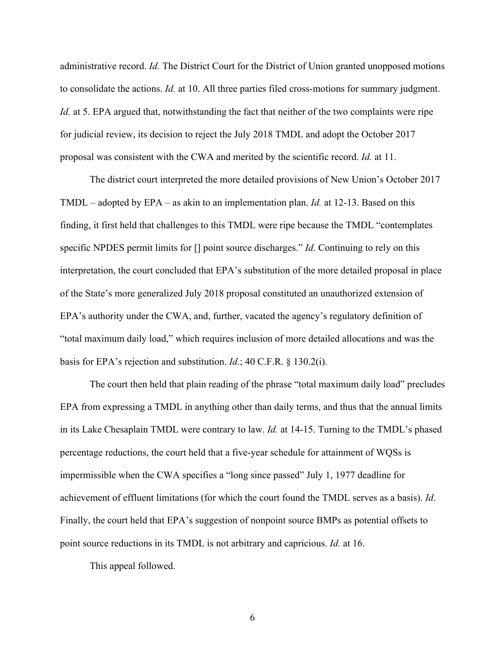administrative record. *Id.* The District Court for the District of Union granted unopposed motions to consolidate the actions. *Id.* at 10. All three parties filed cross-motions for summary judgment. *Id.* at 5. EPA argued that, notwithstanding the fact that neither of the two complaints were ripe for judicial review, its decision to reject the July 2018 TMDL and adopt the October 2017 proposal was consistent with the CWA and merited by the scientific record. *Id.* at 11.

 The district court interpreted the more detailed provisions of New Union's October 2017 TMDL – adopted by EPA – as akin to an implementation plan. *Id.* at 12-13. Based on this finding, it first held that challenges to this TMDL were ripe because the TMDL "contemplates specific NPDES permit limits for [] point source discharges." *Id*. Continuing to rely on this interpretation, the court concluded that EPA's substitution of the more detailed proposal in place of the State's more generalized July 2018 proposal constituted an unauthorized extension of EPA's authority under the CWA, and, further, vacated the agency's regulatory definition of "total maximum daily load," which requires inclusion of more detailed allocations and was the basis for EPA's rejection and substitution. *Id.*; 40 C.F.R. § 130.2(i).

 The court then held that plain reading of the phrase "total maximum daily load" precludes EPA from expressing a TMDL in anything other than daily terms, and thus that the annual limits in its Lake Chesaplain TMDL were contrary to law. *Id.* at 14-15. Turning to the TMDL's phased percentage reductions, the court held that a five-year schedule for attainment of WQSs is impermissible when the CWA specifies a "long since passed" July 1, 1977 deadline for achievement of effluent limitations (for which the court found the TMDL serves as a basis). *Id*. Finally, the court held that EPA's suggestion of nonpoint source BMPs as potential offsets to point source reductions in its TMDL is not arbitrary and capricious. *Id.* at 16.

This appeal followed.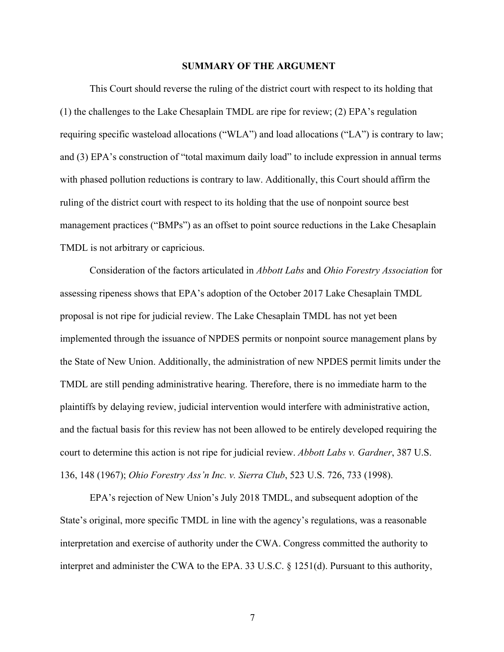#### **SUMMARY OF THE ARGUMENT**

This Court should reverse the ruling of the district court with respect to its holding that (1) the challenges to the Lake Chesaplain TMDL are ripe for review; (2) EPA's regulation requiring specific wasteload allocations ("WLA") and load allocations ("LA") is contrary to law; and (3) EPA's construction of "total maximum daily load" to include expression in annual terms with phased pollution reductions is contrary to law. Additionally, this Court should affirm the ruling of the district court with respect to its holding that the use of nonpoint source best management practices ("BMPs") as an offset to point source reductions in the Lake Chesaplain TMDL is not arbitrary or capricious.

Consideration of the factors articulated in *Abbott Labs* and *Ohio Forestry Association* for assessing ripeness shows that EPA's adoption of the October 2017 Lake Chesaplain TMDL proposal is not ripe for judicial review. The Lake Chesaplain TMDL has not yet been implemented through the issuance of NPDES permits or nonpoint source management plans by the State of New Union. Additionally, the administration of new NPDES permit limits under the TMDL are still pending administrative hearing. Therefore, there is no immediate harm to the plaintiffs by delaying review, judicial intervention would interfere with administrative action, and the factual basis for this review has not been allowed to be entirely developed requiring the court to determine this action is not ripe for judicial review. *Abbott Labs v. Gardner*, 387 U.S. 136, 148 (1967); *Ohio Forestry Ass'n Inc. v. Sierra Club*, 523 U.S. 726, 733 (1998).

 EPA's rejection of New Union's July 2018 TMDL, and subsequent adoption of the State's original, more specific TMDL in line with the agency's regulations, was a reasonable interpretation and exercise of authority under the CWA. Congress committed the authority to interpret and administer the CWA to the EPA. 33 U.S.C. § 1251(d). Pursuant to this authority,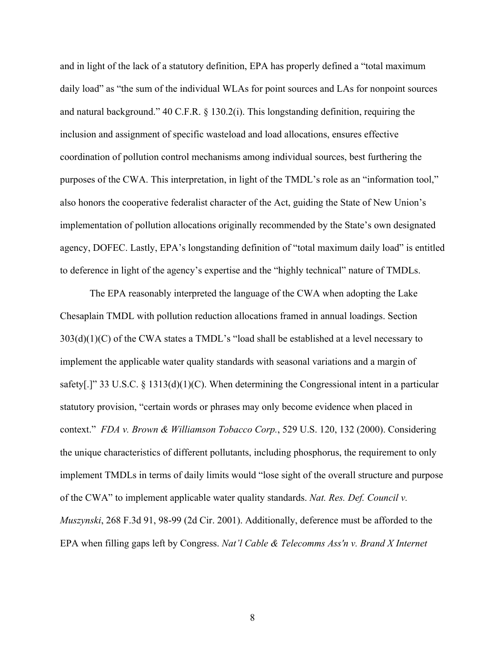and in light of the lack of a statutory definition, EPA has properly defined a "total maximum daily load" as "the sum of the individual WLAs for point sources and LAs for nonpoint sources and natural background." 40 C.F.R. § 130.2(i). This longstanding definition, requiring the inclusion and assignment of specific wasteload and load allocations, ensures effective coordination of pollution control mechanisms among individual sources, best furthering the purposes of the CWA. This interpretation, in light of the TMDL's role as an "information tool," also honors the cooperative federalist character of the Act, guiding the State of New Union's implementation of pollution allocations originally recommended by the State's own designated agency, DOFEC. Lastly, EPA's longstanding definition of "total maximum daily load" is entitled to deference in light of the agency's expertise and the "highly technical" nature of TMDLs.

 The EPA reasonably interpreted the language of the CWA when adopting the Lake Chesaplain TMDL with pollution reduction allocations framed in annual loadings. Section 303(d)(1)(C) of the CWA states a TMDL's "load shall be established at a level necessary to implement the applicable water quality standards with seasonal variations and a margin of safety[.]" 33 U.S.C. § 1313(d)(1)(C). When determining the Congressional intent in a particular statutory provision, "certain words or phrases may only become evidence when placed in context." *FDA v. Brown & Williamson Tobacco Corp.*, 529 U.S. 120, 132 (2000). Considering the unique characteristics of different pollutants, including phosphorus, the requirement to only implement TMDLs in terms of daily limits would "lose sight of the overall structure and purpose of the CWA" to implement applicable water quality standards. *Nat. Res. Def. Council v. Muszynski*, 268 F.3d 91, 98-99 (2d Cir. 2001). Additionally, deference must be afforded to the EPA when filling gaps left by Congress. *Nat'l Cable & Telecomms Ass'n v. Brand X Internet*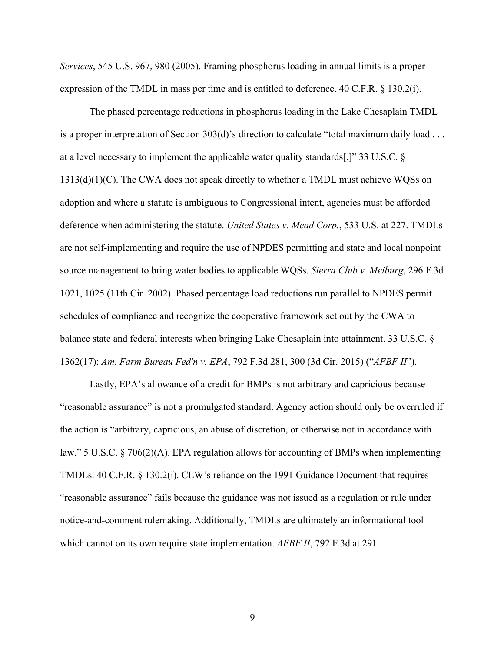*Services*, 545 U.S. 967, 980 (2005). Framing phosphorus loading in annual limits is a proper expression of the TMDL in mass per time and is entitled to deference. 40 C.F.R. § 130.2(i).

 The phased percentage reductions in phosphorus loading in the Lake Chesaplain TMDL is a proper interpretation of Section 303(d)'s direction to calculate "total maximum daily load . . . at a level necessary to implement the applicable water quality standards[.]" 33 U.S.C. § 1313(d)(1)(C). The CWA does not speak directly to whether a TMDL must achieve WQSs on adoption and where a statute is ambiguous to Congressional intent, agencies must be afforded deference when administering the statute. *United States v. Mead Corp.*, 533 U.S. at 227. TMDLs are not self-implementing and require the use of NPDES permitting and state and local nonpoint source management to bring water bodies to applicable WQSs. *Sierra Club v. Meiburg*, 296 F.3d 1021, 1025 (11th Cir. 2002). Phased percentage load reductions run parallel to NPDES permit schedules of compliance and recognize the cooperative framework set out by the CWA to balance state and federal interests when bringing Lake Chesaplain into attainment. 33 U.S.C. § 1362(17); *Am. Farm Bureau Fed'n v. EPA*, 792 F.3d 281, 300 (3d Cir. 2015) ("*AFBF II*").

 Lastly, EPA's allowance of a credit for BMPs is not arbitrary and capricious because "reasonable assurance" is not a promulgated standard. Agency action should only be overruled if the action is "arbitrary, capricious, an abuse of discretion, or otherwise not in accordance with law." 5 U.S.C. § 706(2)(A). EPA regulation allows for accounting of BMPs when implementing TMDLs. 40 C.F.R. § 130.2(i). CLW's reliance on the 1991 Guidance Document that requires "reasonable assurance" fails because the guidance was not issued as a regulation or rule under notice-and-comment rulemaking. Additionally, TMDLs are ultimately an informational tool which cannot on its own require state implementation. *AFBF II*, 792 F.3d at 291.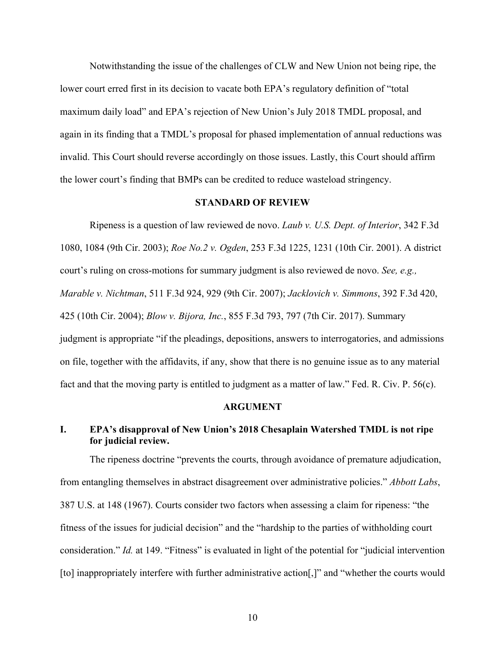Notwithstanding the issue of the challenges of CLW and New Union not being ripe, the lower court erred first in its decision to vacate both EPA's regulatory definition of "total maximum daily load" and EPA's rejection of New Union's July 2018 TMDL proposal, and again in its finding that a TMDL's proposal for phased implementation of annual reductions was invalid. This Court should reverse accordingly on those issues. Lastly, this Court should affirm the lower court's finding that BMPs can be credited to reduce wasteload stringency.

#### **STANDARD OF REVIEW**

Ripeness is a question of law reviewed de novo. *Laub v. U.S. Dept. of Interior*, 342 F.3d 1080, 1084 (9th Cir. 2003); *Roe No.2 v. Ogden*, 253 F.3d 1225, 1231 (10th Cir. 2001). A district court's ruling on cross-motions for summary judgment is also reviewed de novo. *See, e.g., Marable v. Nichtman*, 511 F.3d 924, 929 (9th Cir. 2007); *Jacklovich v. Simmons*, 392 F.3d 420, 425 (10th Cir. 2004); *Blow v. Bijora, Inc.*, 855 F.3d 793, 797 (7th Cir. 2017). Summary judgment is appropriate "if the pleadings, depositions, answers to interrogatories, and admissions on file, together with the affidavits, if any, show that there is no genuine issue as to any material fact and that the moving party is entitled to judgment as a matter of law." Fed. R. Civ. P. 56(c).

#### **ARGUMENT**

### **I. EPA's disapproval of New Union's 2018 Chesaplain Watershed TMDL is not ripe for judicial review.**

The ripeness doctrine "prevents the courts, through avoidance of premature adjudication, from entangling themselves in abstract disagreement over administrative policies." *Abbott Labs*, 387 U.S. at 148 (1967). Courts consider two factors when assessing a claim for ripeness: "the fitness of the issues for judicial decision" and the "hardship to the parties of withholding court consideration." *Id.* at 149. "Fitness" is evaluated in light of the potential for "judicial intervention [to] inappropriately interfere with further administrative action[,]" and "whether the courts would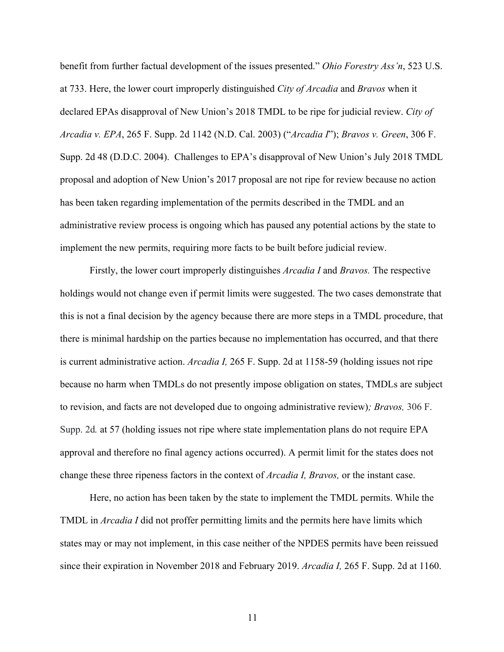benefit from further factual development of the issues presented." *Ohio Forestry Ass'n*, 523 U.S. at 733. Here, the lower court improperly distinguished *City of Arcadia* and *Bravos* when it declared EPAs disapproval of New Union's 2018 TMDL to be ripe for judicial review. *City of Arcadia v. EPA*, 265 F. Supp. 2d 1142 (N.D. Cal. 2003) ("*Arcadia I*"); *Bravos v. Green*, 306 F. Supp. 2d 48 (D.D.C. 2004). Challenges to EPA's disapproval of New Union's July 2018 TMDL proposal and adoption of New Union's 2017 proposal are not ripe for review because no action has been taken regarding implementation of the permits described in the TMDL and an administrative review process is ongoing which has paused any potential actions by the state to implement the new permits, requiring more facts to be built before judicial review.

Firstly, the lower court improperly distinguishes *Arcadia I* and *Bravos.* The respective holdings would not change even if permit limits were suggested. The two cases demonstrate that this is not a final decision by the agency because there are more steps in a TMDL procedure, that there is minimal hardship on the parties because no implementation has occurred, and that there is current administrative action. *Arcadia I,* 265 F. Supp. 2d at 1158-59 (holding issues not ripe because no harm when TMDLs do not presently impose obligation on states, TMDLs are subject to revision, and facts are not developed due to ongoing administrative review)*; Bravos,* 306 F. Supp. 2d*.* at 57 (holding issues not ripe where state implementation plans do not require EPA approval and therefore no final agency actions occurred). A permit limit for the states does not change these three ripeness factors in the context of *Arcadia I, Bravos,* or the instant case.

Here, no action has been taken by the state to implement the TMDL permits. While the TMDL in *Arcadia I* did not proffer permitting limits and the permits here have limits which states may or may not implement, in this case neither of the NPDES permits have been reissued since their expiration in November 2018 and February 2019. *Arcadia I,* 265 F. Supp. 2d at 1160.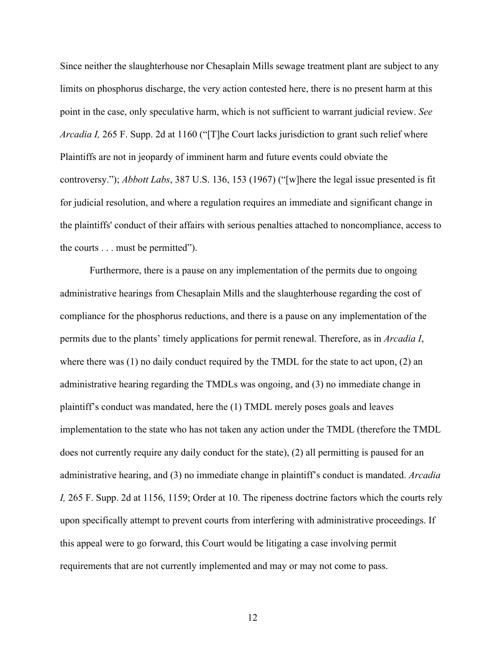Since neither the slaughterhouse nor Chesaplain Mills sewage treatment plant are subject to any limits on phosphorus discharge, the very action contested here, there is no present harm at this point in the case, only speculative harm, which is not sufficient to warrant judicial review. *See Arcadia I,* 265 F. Supp. 2d at 1160 ("[T]he Court lacks jurisdiction to grant such relief where Plaintiffs are not in jeopardy of imminent harm and future events could obviate the controversy."); *Abbott Labs*, 387 U.S. 136, 153 (1967) ("[w]here the legal issue presented is fit for judicial resolution, and where a regulation requires an immediate and significant change in the plaintiffs' conduct of their affairs with serious penalties attached to noncompliance, access to the courts . . . must be permitted").

Furthermore, there is a pause on any implementation of the permits due to ongoing administrative hearings from Chesaplain Mills and the slaughterhouse regarding the cost of compliance for the phosphorus reductions, and there is a pause on any implementation of the permits due to the plants' timely applications for permit renewal. Therefore, as in *Arcadia I*, where there was (1) no daily conduct required by the TMDL for the state to act upon, (2) an administrative hearing regarding the TMDLs was ongoing, and (3) no immediate change in plaintiff's conduct was mandated, here the (1) TMDL merely poses goals and leaves implementation to the state who has not taken any action under the TMDL (therefore the TMDL does not currently require any daily conduct for the state), (2) all permitting is paused for an administrative hearing, and (3) no immediate change in plaintiff's conduct is mandated. *Arcadia I,* 265 F. Supp. 2d at 1156, 1159; Order at 10. The ripeness doctrine factors which the courts rely upon specifically attempt to prevent courts from interfering with administrative proceedings. If this appeal were to go forward, this Court would be litigating a case involving permit requirements that are not currently implemented and may or may not come to pass.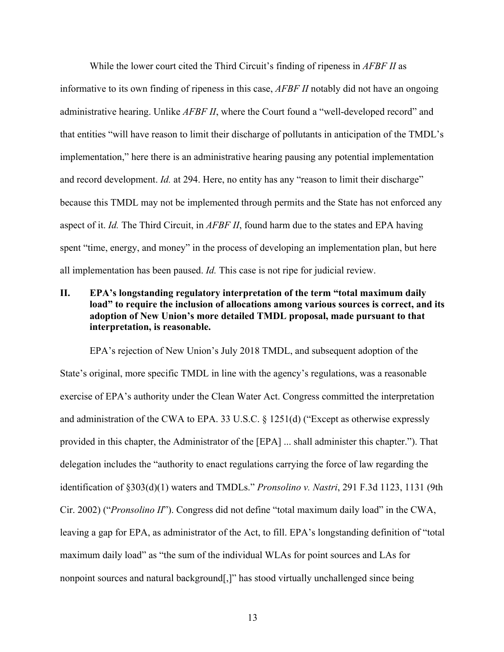While the lower court cited the Third Circuit's finding of ripeness in *AFBF II* as informative to its own finding of ripeness in this case, *AFBF II* notably did not have an ongoing administrative hearing. Unlike *AFBF II*, where the Court found a "well-developed record" and that entities "will have reason to limit their discharge of pollutants in anticipation of the TMDL's implementation," here there is an administrative hearing pausing any potential implementation and record development. *Id.* at 294. Here, no entity has any "reason to limit their discharge" because this TMDL may not be implemented through permits and the State has not enforced any aspect of it. *Id.* The Third Circuit, in *AFBF II*, found harm due to the states and EPA having spent "time, energy, and money" in the process of developing an implementation plan, but here all implementation has been paused. *Id.* This case is not ripe for judicial review.

## **II. EPA's longstanding regulatory interpretation of the term "total maximum daily load" to require the inclusion of allocations among various sources is correct, and its adoption of New Union's more detailed TMDL proposal, made pursuant to that interpretation, is reasonable.**

EPA's rejection of New Union's July 2018 TMDL, and subsequent adoption of the State's original, more specific TMDL in line with the agency's regulations, was a reasonable exercise of EPA's authority under the Clean Water Act. Congress committed the interpretation and administration of the CWA to EPA. 33 U.S.C.  $\S$  1251(d) ("Except as otherwise expressly provided in this chapter, the Administrator of the [EPA] ... shall administer this chapter."). That delegation includes the "authority to enact regulations carrying the force of law regarding the identification of §303(d)(1) waters and TMDLs." *Pronsolino v. Nastri*, 291 F.3d 1123, 1131 (9th Cir. 2002) ("*Pronsolino II*"). Congress did not define "total maximum daily load" in the CWA, leaving a gap for EPA, as administrator of the Act, to fill. EPA's longstanding definition of "total maximum daily load" as "the sum of the individual WLAs for point sources and LAs for nonpoint sources and natural background[,]" has stood virtually unchallenged since being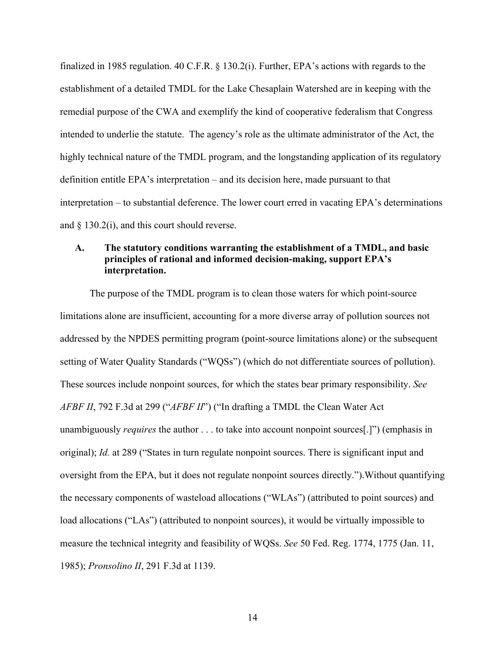finalized in 1985 regulation. 40 C.F.R. § 130.2(i). Further, EPA's actions with regards to the establishment of a detailed TMDL for the Lake Chesaplain Watershed are in keeping with the remedial purpose of the CWA and exemplify the kind of cooperative federalism that Congress intended to underlie the statute. The agency's role as the ultimate administrator of the Act, the highly technical nature of the TMDL program, and the longstanding application of its regulatory definition entitle EPA's interpretation – and its decision here, made pursuant to that interpretation – to substantial deference. The lower court erred in vacating EPA's determinations and  $\S$  130.2(i), and this court should reverse.

## **A. The statutory conditions warranting the establishment of a TMDL, and basic principles of rational and informed decision-making, support EPA's interpretation.**

The purpose of the TMDL program is to clean those waters for which point-source limitations alone are insufficient, accounting for a more diverse array of pollution sources not addressed by the NPDES permitting program (point-source limitations alone) or the subsequent setting of Water Quality Standards ("WQSs") (which do not differentiate sources of pollution). These sources include nonpoint sources, for which the states bear primary responsibility. *See AFBF II*, 792 F.3d at 299 ("*AFBF II*") ("In drafting a TMDL the Clean Water Act unambiguously *requires* the author . . . to take into account nonpoint sources[.]") (emphasis in original); *Id.* at 289 ("States in turn regulate nonpoint sources. There is significant input and oversight from the EPA, but it does not regulate nonpoint sources directly.").Without quantifying the necessary components of wasteload allocations ("WLAs") (attributed to point sources) and load allocations ("LAs") (attributed to nonpoint sources), it would be virtually impossible to measure the technical integrity and feasibility of WQSs. *See* 50 Fed. Reg. 1774, 1775 (Jan. 11, 1985); *Pronsolino II*, 291 F.3d at 1139.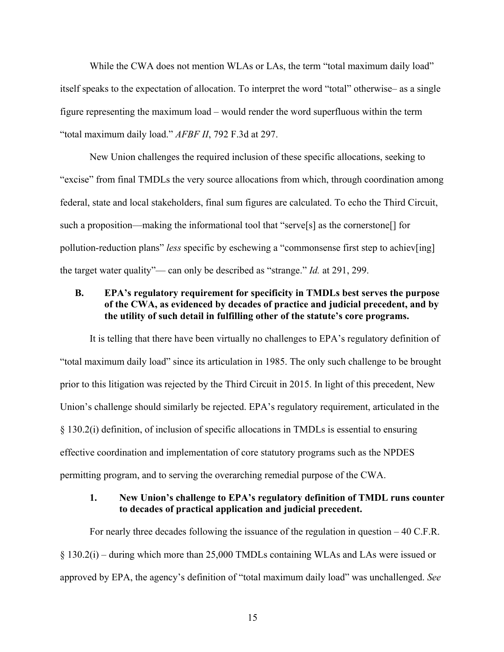While the CWA does not mention WLAs or LAs, the term "total maximum daily load" itself speaks to the expectation of allocation. To interpret the word "total" otherwise– as a single figure representing the maximum load – would render the word superfluous within the term "total maximum daily load." *AFBF II*, 792 F.3d at 297.

New Union challenges the required inclusion of these specific allocations, seeking to "excise" from final TMDLs the very source allocations from which, through coordination among federal, state and local stakeholders, final sum figures are calculated. To echo the Third Circuit, such a proposition—making the informational tool that "serve[s] as the cornerstone[] for pollution-reduction plans" *less* specific by eschewing a "commonsense first step to achiev[ing] the target water quality"— can only be described as "strange." *Id.* at 291, 299.

## **B. EPA's regulatory requirement for specificity in TMDLs best serves the purpose of the CWA, as evidenced by decades of practice and judicial precedent, and by the utility of such detail in fulfilling other of the statute's core programs.**

It is telling that there have been virtually no challenges to EPA's regulatory definition of "total maximum daily load" since its articulation in 1985. The only such challenge to be brought prior to this litigation was rejected by the Third Circuit in 2015. In light of this precedent, New Union's challenge should similarly be rejected. EPA's regulatory requirement, articulated in the § 130.2(i) definition, of inclusion of specific allocations in TMDLs is essential to ensuring effective coordination and implementation of core statutory programs such as the NPDES permitting program, and to serving the overarching remedial purpose of the CWA.

### **1. New Union's challenge to EPA's regulatory definition of TMDL runs counter to decades of practical application and judicial precedent.**

For nearly three decades following the issuance of the regulation in question – 40 C.F.R. § 130.2(i) – during which more than 25,000 TMDLs containing WLAs and LAs were issued or approved by EPA, the agency's definition of "total maximum daily load" was unchallenged. *See*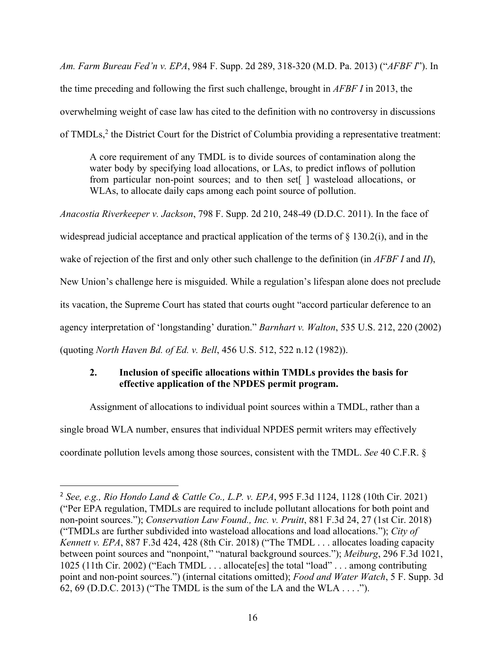*Am. Farm Bureau Fed'n v. EPA*, 984 F. Supp. 2d 289, 318-320 (M.D. Pa. 2013) ("*AFBF I*"). In the time preceding and following the first such challenge, brought in *AFBF I* in 2013, the overwhelming weight of case law has cited to the definition with no controversy in discussions of TMDLs,<sup>2</sup> the District Court for the District of Columbia providing a representative treatment:

A core requirement of any TMDL is to divide sources of contamination along the water body by specifying load allocations, or LAs, to predict inflows of pollution from particular non-point sources; and to then set[ ] wasteload allocations, or WLAs, to allocate daily caps among each point source of pollution.

*Anacostia Riverkeeper v. Jackson*, 798 F. Supp. 2d 210, 248-49 (D.D.C. 2011). In the face of widespread judicial acceptance and practical application of the terms of  $\S$  130.2(i), and in the wake of rejection of the first and only other such challenge to the definition (in *AFBF I* and *II*), New Union's challenge here is misguided. While a regulation's lifespan alone does not preclude its vacation, the Supreme Court has stated that courts ought "accord particular deference to an agency interpretation of 'longstanding' duration." *Barnhart v. Walton*, 535 U.S. 212, 220 (2002) (quoting *North Haven Bd. of Ed. v. Bell*, 456 U.S. 512, 522 n.12 (1982)).

# **2. Inclusion of specific allocations within TMDLs provides the basis for effective application of the NPDES permit program.**

Assignment of allocations to individual point sources within a TMDL, rather than a single broad WLA number, ensures that individual NPDES permit writers may effectively coordinate pollution levels among those sources, consistent with the TMDL. *See* 40 C.F.R. §

<sup>2</sup> *See, e.g., Rio Hondo Land & Cattle Co., L.P. v. EPA*, 995 F.3d 1124, 1128 (10th Cir. 2021) ("Per EPA regulation, TMDLs are required to include pollutant allocations for both point and non-point sources."); *Conservation Law Found., Inc. v. Pruitt*, 881 F.3d 24, 27 (1st Cir. 2018) ("TMDLs are further subdivided into wasteload allocations and load allocations."); *City of Kennett v. EPA*, 887 F.3d 424, 428 (8th Cir. 2018) ("The TMDL . . . allocates loading capacity between point sources and "nonpoint," "natural background sources."); *Meiburg*, 296 F.3d 1021, 1025 (11th Cir. 2002) ("Each TMDL . . . allocate[es] the total "load" . . . among contributing point and non-point sources.") (internal citations omitted); *Food and Water Watch*, 5 F. Supp. 3d 62, 69 (D.D.C. 2013) ("The TMDL is the sum of the LA and the WLA . . . .").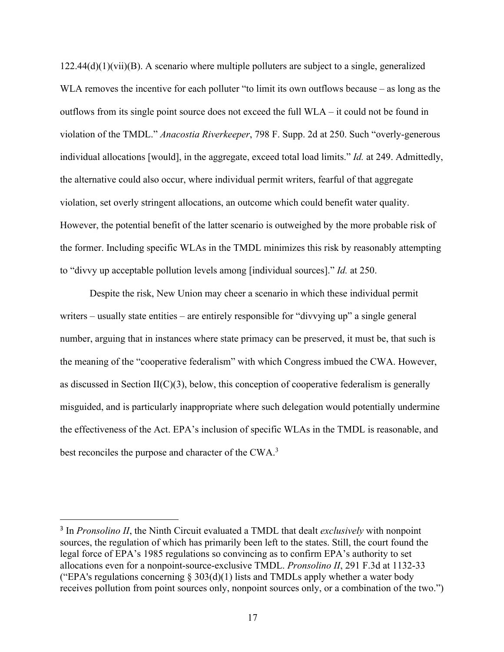$122.44(d)(1)(vii)(B)$ . A scenario where multiple polluters are subject to a single, generalized WLA removes the incentive for each polluter "to limit its own outflows because – as long as the outflows from its single point source does not exceed the full WLA – it could not be found in violation of the TMDL." *Anacostia Riverkeeper*, 798 F. Supp. 2d at 250. Such "overly-generous individual allocations [would], in the aggregate, exceed total load limits." *Id.* at 249. Admittedly, the alternative could also occur, where individual permit writers, fearful of that aggregate violation, set overly stringent allocations, an outcome which could benefit water quality. However, the potential benefit of the latter scenario is outweighed by the more probable risk of the former. Including specific WLAs in the TMDL minimizes this risk by reasonably attempting to "divvy up acceptable pollution levels among [individual sources]." *Id.* at 250.

Despite the risk, New Union may cheer a scenario in which these individual permit writers – usually state entities – are entirely responsible for "divvying up" a single general number, arguing that in instances where state primacy can be preserved, it must be, that such is the meaning of the "cooperative federalism" with which Congress imbued the CWA. However, as discussed in Section II( $C(3)$ , below, this conception of cooperative federalism is generally misguided, and is particularly inappropriate where such delegation would potentially undermine the effectiveness of the Act. EPA's inclusion of specific WLAs in the TMDL is reasonable, and best reconciles the purpose and character of the CWA.3

<sup>3</sup> In *Pronsolino II*, the Ninth Circuit evaluated a TMDL that dealt *exclusively* with nonpoint sources, the regulation of which has primarily been left to the states. Still, the court found the legal force of EPA's 1985 regulations so convincing as to confirm EPA's authority to set allocations even for a nonpoint-source-exclusive TMDL. *Pronsolino II*, 291 F.3d at 1132-33 ("EPA's regulations concerning  $\S 303(d)(1)$  lists and TMDLs apply whether a water body receives pollution from point sources only, nonpoint sources only, or a combination of the two.")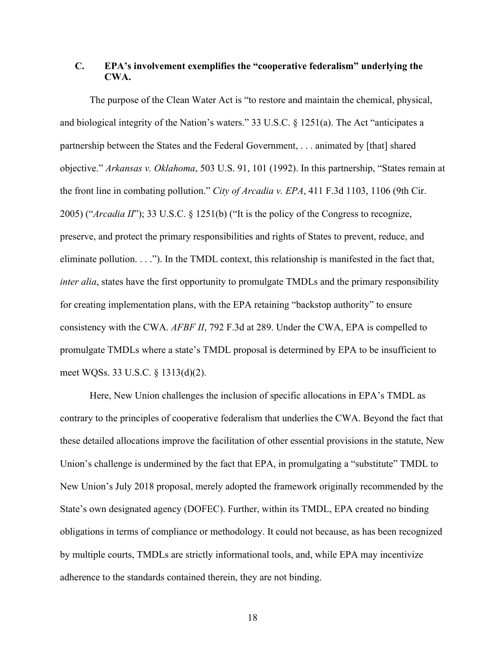### **C. EPA's involvement exemplifies the "cooperative federalism" underlying the CWA.**

The purpose of the Clean Water Act is "to restore and maintain the chemical, physical, and biological integrity of the Nation's waters." 33 U.S.C. § 1251(a). The Act "anticipates a partnership between the States and the Federal Government, . . . animated by [that] shared objective." *Arkansas v. Oklahoma*, 503 U.S. 91, 101 (1992). In this partnership, "States remain at the front line in combating pollution." *City of Arcadia v. EPA*, 411 F.3d 1103, 1106 (9th Cir. 2005) ("*Arcadia II*"); 33 U.S.C. § 1251(b) ("It is the policy of the Congress to recognize, preserve, and protect the primary responsibilities and rights of States to prevent, reduce, and eliminate pollution. . . ."). In the TMDL context, this relationship is manifested in the fact that, *inter alia*, states have the first opportunity to promulgate TMDLs and the primary responsibility for creating implementation plans, with the EPA retaining "backstop authority" to ensure consistency with the CWA. *AFBF II*, 792 F.3d at 289. Under the CWA, EPA is compelled to promulgate TMDLs where a state's TMDL proposal is determined by EPA to be insufficient to meet WQSs. 33 U.S.C. § 1313(d)(2).

Here, New Union challenges the inclusion of specific allocations in EPA's TMDL as contrary to the principles of cooperative federalism that underlies the CWA. Beyond the fact that these detailed allocations improve the facilitation of other essential provisions in the statute, New Union's challenge is undermined by the fact that EPA, in promulgating a "substitute" TMDL to New Union's July 2018 proposal, merely adopted the framework originally recommended by the State's own designated agency (DOFEC). Further, within its TMDL, EPA created no binding obligations in terms of compliance or methodology. It could not because, as has been recognized by multiple courts, TMDLs are strictly informational tools, and, while EPA may incentivize adherence to the standards contained therein, they are not binding.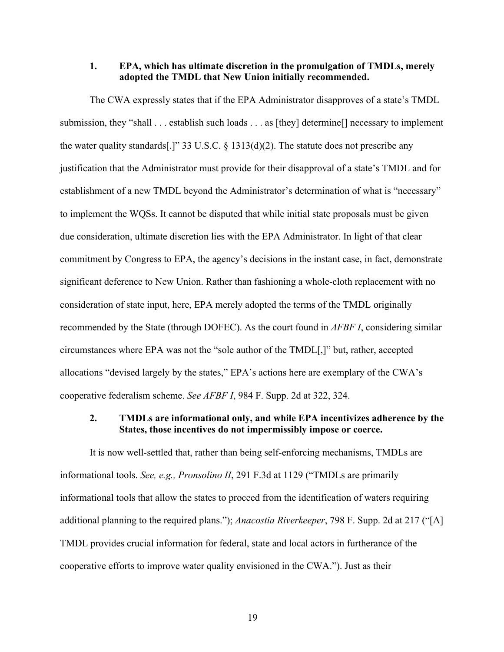#### **1. EPA, which has ultimate discretion in the promulgation of TMDLs, merely adopted the TMDL that New Union initially recommended.**

The CWA expressly states that if the EPA Administrator disapproves of a state's TMDL submission, they "shall . . . establish such loads . . . as [they] determine[] necessary to implement the water quality standards[.]" 33 U.S.C.  $\S$  1313(d)(2). The statute does not prescribe any justification that the Administrator must provide for their disapproval of a state's TMDL and for establishment of a new TMDL beyond the Administrator's determination of what is "necessary" to implement the WQSs. It cannot be disputed that while initial state proposals must be given due consideration, ultimate discretion lies with the EPA Administrator. In light of that clear commitment by Congress to EPA, the agency's decisions in the instant case, in fact, demonstrate significant deference to New Union. Rather than fashioning a whole-cloth replacement with no consideration of state input, here, EPA merely adopted the terms of the TMDL originally recommended by the State (through DOFEC). As the court found in *AFBF I*, considering similar circumstances where EPA was not the "sole author of the TMDL[,]" but, rather, accepted allocations "devised largely by the states," EPA's actions here are exemplary of the CWA's cooperative federalism scheme. *See AFBF I*, 984 F. Supp. 2d at 322, 324.

# **2. TMDLs are informational only, and while EPA incentivizes adherence by the States, those incentives do not impermissibly impose or coerce.**

It is now well-settled that, rather than being self-enforcing mechanisms, TMDLs are informational tools. *See, e.g., Pronsolino II*, 291 F.3d at 1129 ("TMDLs are primarily informational tools that allow the states to proceed from the identification of waters requiring additional planning to the required plans."); *Anacostia Riverkeeper*, 798 F. Supp. 2d at 217 ("[A] TMDL provides crucial information for federal, state and local actors in furtherance of the cooperative efforts to improve water quality envisioned in the CWA."). Just as their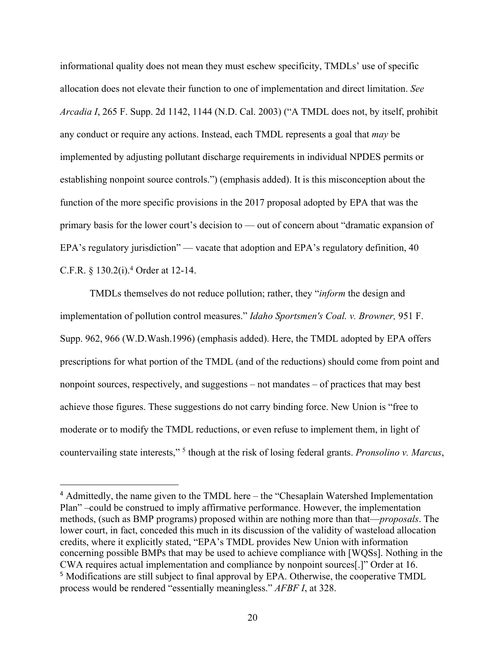informational quality does not mean they must eschew specificity, TMDLs' use of specific allocation does not elevate their function to one of implementation and direct limitation. *See Arcadia I*, 265 F. Supp. 2d 1142, 1144 (N.D. Cal. 2003) ("A TMDL does not, by itself, prohibit any conduct or require any actions. Instead, each TMDL represents a goal that *may* be implemented by adjusting pollutant discharge requirements in individual NPDES permits or establishing nonpoint source controls.") (emphasis added). It is this misconception about the function of the more specific provisions in the 2017 proposal adopted by EPA that was the primary basis for the lower court's decision to — out of concern about "dramatic expansion of EPA's regulatory jurisdiction" — vacate that adoption and EPA's regulatory definition, 40 C.F.R. § 130.2(i).4 Order at 12-14.

TMDLs themselves do not reduce pollution; rather, they "*inform* the design and implementation of pollution control measures." *Idaho Sportsmen's Coal. v. Browner,* 951 F. Supp. 962, 966 (W.D.Wash.1996) (emphasis added). Here, the TMDL adopted by EPA offers prescriptions for what portion of the TMDL (and of the reductions) should come from point and nonpoint sources, respectively, and suggestions – not mandates – of practices that may best achieve those figures. These suggestions do not carry binding force. New Union is "free to moderate or to modify the TMDL reductions, or even refuse to implement them, in light of countervailing state interests," 5 though at the risk of losing federal grants. *Pronsolino v. Marcus*,

<sup>4</sup> Admittedly, the name given to the TMDL here – the "Chesaplain Watershed Implementation Plan" –could be construed to imply affirmative performance. However, the implementation methods, (such as BMP programs) proposed within are nothing more than that—*proposals*. The lower court, in fact, conceded this much in its discussion of the validity of wasteload allocation credits, where it explicitly stated, "EPA's TMDL provides New Union with information concerning possible BMPs that may be used to achieve compliance with [WQSs]. Nothing in the CWA requires actual implementation and compliance by nonpoint sources[.]" Order at 16. <sup>5</sup> Modifications are still subject to final approval by EPA. Otherwise, the cooperative TMDL process would be rendered "essentially meaningless." *AFBF I*, at 328.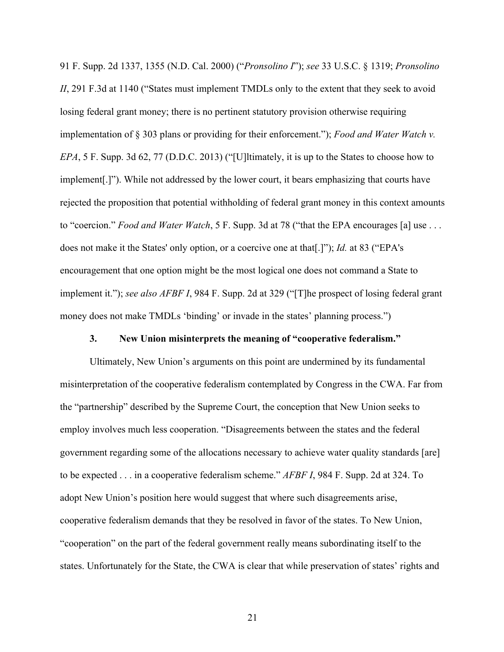91 F. Supp. 2d 1337, 1355 (N.D. Cal. 2000) ("*Pronsolino I*"); *see* 33 U.S.C. § 1319; *Pronsolino II*, 291 F.3d at 1140 ("States must implement TMDLs only to the extent that they seek to avoid losing federal grant money; there is no pertinent statutory provision otherwise requiring implementation of § 303 plans or providing for their enforcement."); *Food and Water Watch v. EPA*, 5 F. Supp. 3d 62, 77 (D.D.C. 2013) ("[U]ltimately, it is up to the States to choose how to implement[.]"). While not addressed by the lower court, it bears emphasizing that courts have rejected the proposition that potential withholding of federal grant money in this context amounts to "coercion." *Food and Water Watch*, 5 F. Supp. 3d at 78 ("that the EPA encourages [a] use . . . does not make it the States' only option, or a coercive one at that[.]"); *Id.* at 83 ("EPA's encouragement that one option might be the most logical one does not command a State to implement it."); *see also AFBF I*, 984 F. Supp. 2d at 329 ("[T]he prospect of losing federal grant money does not make TMDLs 'binding' or invade in the states' planning process.")

#### **3. New Union misinterprets the meaning of "cooperative federalism."**

Ultimately, New Union's arguments on this point are undermined by its fundamental misinterpretation of the cooperative federalism contemplated by Congress in the CWA. Far from the "partnership" described by the Supreme Court, the conception that New Union seeks to employ involves much less cooperation. "Disagreements between the states and the federal government regarding some of the allocations necessary to achieve water quality standards [are] to be expected . . . in a cooperative federalism scheme." *AFBF I*, 984 F. Supp. 2d at 324. To adopt New Union's position here would suggest that where such disagreements arise, cooperative federalism demands that they be resolved in favor of the states. To New Union, "cooperation" on the part of the federal government really means subordinating itself to the states. Unfortunately for the State, the CWA is clear that while preservation of states' rights and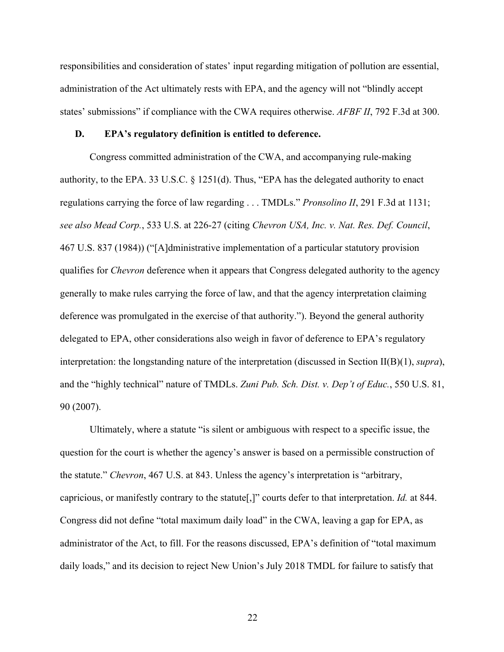responsibilities and consideration of states' input regarding mitigation of pollution are essential, administration of the Act ultimately rests with EPA, and the agency will not "blindly accept states' submissions" if compliance with the CWA requires otherwise. *AFBF II*, 792 F.3d at 300.

#### **D. EPA's regulatory definition is entitled to deference.**

Congress committed administration of the CWA, and accompanying rule-making authority, to the EPA. 33 U.S.C. § 1251(d). Thus, "EPA has the delegated authority to enact regulations carrying the force of law regarding . . . TMDLs." *Pronsolino II*, 291 F.3d at 1131; *see also Mead Corp.*, 533 U.S. at 226-27 (citing *Chevron USA, Inc. v. Nat. Res. Def. Council*, 467 U.S. 837 (1984)) ("[A]dministrative implementation of a particular statutory provision qualifies for *Chevron* deference when it appears that Congress delegated authority to the agency generally to make rules carrying the force of law, and that the agency interpretation claiming deference was promulgated in the exercise of that authority."). Beyond the general authority delegated to EPA, other considerations also weigh in favor of deference to EPA's regulatory interpretation: the longstanding nature of the interpretation (discussed in Section II(B)(1), *supra*), and the "highly technical" nature of TMDLs. *Zuni Pub. Sch. Dist. v. Dep't of Educ.*, 550 U.S. 81, 90 (2007).

Ultimately, where a statute "is silent or ambiguous with respect to a specific issue, the question for the court is whether the agency's answer is based on a permissible construction of the statute." *Chevron*, 467 U.S. at 843. Unless the agency's interpretation is "arbitrary, capricious, or manifestly contrary to the statute[,]" courts defer to that interpretation. *Id.* at 844. Congress did not define "total maximum daily load" in the CWA, leaving a gap for EPA, as administrator of the Act, to fill. For the reasons discussed, EPA's definition of "total maximum daily loads," and its decision to reject New Union's July 2018 TMDL for failure to satisfy that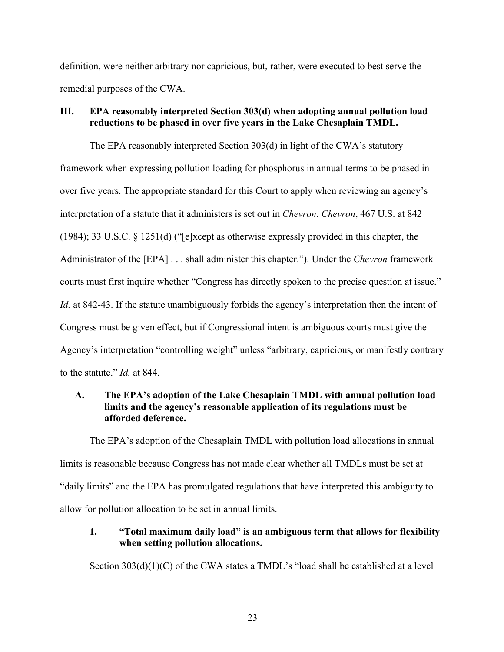definition, were neither arbitrary nor capricious, but, rather, were executed to best serve the remedial purposes of the CWA.

### **III. EPA reasonably interpreted Section 303(d) when adopting annual pollution load reductions to be phased in over five years in the Lake Chesaplain TMDL.**

The EPA reasonably interpreted Section 303(d) in light of the CWA's statutory framework when expressing pollution loading for phosphorus in annual terms to be phased in over five years. The appropriate standard for this Court to apply when reviewing an agency's interpretation of a statute that it administers is set out in *Chevron. Chevron*, 467 U.S. at 842 (1984); 33 U.S.C. § 1251(d) ("[e]xcept as otherwise expressly provided in this chapter, the Administrator of the [EPA] . . . shall administer this chapter."). Under the *Chevron* framework courts must first inquire whether "Congress has directly spoken to the precise question at issue." *Id.* at 842-43. If the statute unambiguously forbids the agency's interpretation then the intent of Congress must be given effect, but if Congressional intent is ambiguous courts must give the Agency's interpretation "controlling weight" unless "arbitrary, capricious, or manifestly contrary to the statute." *Id.* at 844.

## **A. The EPA's adoption of the Lake Chesaplain TMDL with annual pollution load limits and the agency's reasonable application of its regulations must be afforded deference.**

The EPA's adoption of the Chesaplain TMDL with pollution load allocations in annual limits is reasonable because Congress has not made clear whether all TMDLs must be set at "daily limits" and the EPA has promulgated regulations that have interpreted this ambiguity to allow for pollution allocation to be set in annual limits.

## **1. "Total maximum daily load" is an ambiguous term that allows for flexibility when setting pollution allocations.**

Section 303(d)(1)(C) of the CWA states a TMDL's "load shall be established at a level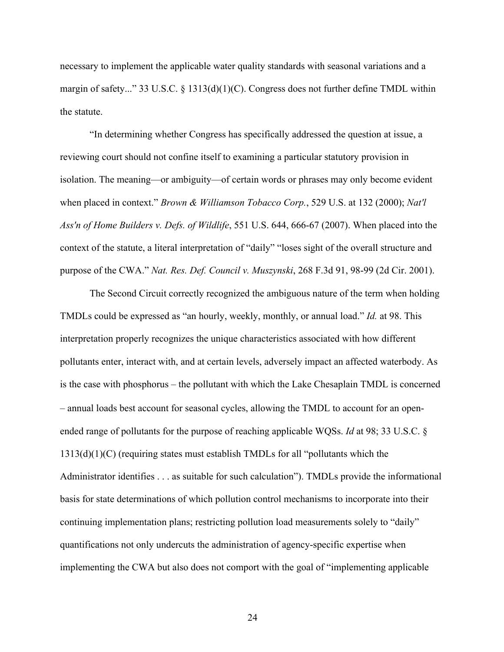necessary to implement the applicable water quality standards with seasonal variations and a margin of safety..." 33 U.S.C. § 1313(d)(1)(C). Congress does not further define TMDL within the statute.

"In determining whether Congress has specifically addressed the question at issue, a reviewing court should not confine itself to examining a particular statutory provision in isolation. The meaning—or ambiguity—of certain words or phrases may only become evident when placed in context." *Brown & Williamson Tobacco Corp.*, 529 U.S. at 132 (2000); *Nat'l Ass'n of Home Builders v. Defs. of Wildlife*, 551 U.S. 644, 666-67 (2007). When placed into the context of the statute, a literal interpretation of "daily" "loses sight of the overall structure and purpose of the CWA." *Nat. Res. Def. Council v. Muszynski*, 268 F.3d 91, 98-99 (2d Cir. 2001).

The Second Circuit correctly recognized the ambiguous nature of the term when holding TMDLs could be expressed as "an hourly, weekly, monthly, or annual load." *Id.* at 98. This interpretation properly recognizes the unique characteristics associated with how different pollutants enter, interact with, and at certain levels, adversely impact an affected waterbody. As is the case with phosphorus – the pollutant with which the Lake Chesaplain TMDL is concerned – annual loads best account for seasonal cycles, allowing the TMDL to account for an openended range of pollutants for the purpose of reaching applicable WQSs. *Id* at 98; 33 U.S.C. §  $1313(d)(1)(C)$  (requiring states must establish TMDLs for all "pollutants which the Administrator identifies . . . as suitable for such calculation"). TMDLs provide the informational basis for state determinations of which pollution control mechanisms to incorporate into their continuing implementation plans; restricting pollution load measurements solely to "daily" quantifications not only undercuts the administration of agency-specific expertise when implementing the CWA but also does not comport with the goal of "implementing applicable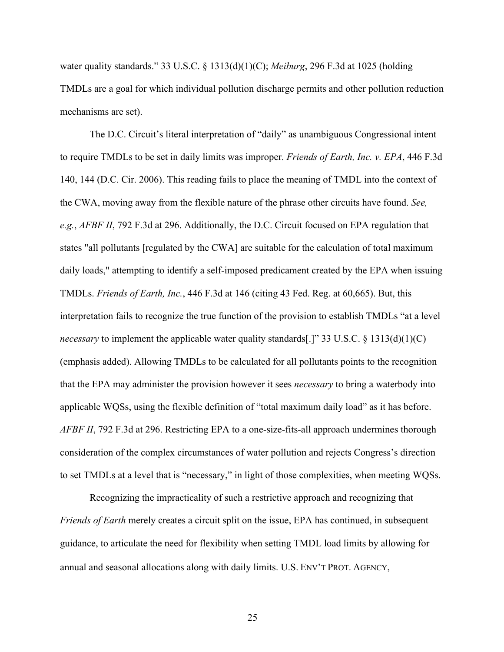water quality standards." 33 U.S.C. § 1313(d)(1)(C); *Meiburg*, 296 F.3d at 1025 (holding TMDLs are a goal for which individual pollution discharge permits and other pollution reduction mechanisms are set).

The D.C. Circuit's literal interpretation of "daily" as unambiguous Congressional intent to require TMDLs to be set in daily limits was improper. *Friends of Earth, Inc. v. EPA*, 446 F.3d 140, 144 (D.C. Cir. 2006). This reading fails to place the meaning of TMDL into the context of the CWA, moving away from the flexible nature of the phrase other circuits have found. *See, e.g.*, *AFBF II*, 792 F.3d at 296. Additionally, the D.C. Circuit focused on EPA regulation that states "all pollutants [regulated by the CWA] are suitable for the calculation of total maximum daily loads," attempting to identify a self-imposed predicament created by the EPA when issuing TMDLs. *Friends of Earth, Inc.*, 446 F.3d at 146 (citing 43 Fed. Reg. at 60,665). But, this interpretation fails to recognize the true function of the provision to establish TMDLs "at a level *necessary* to implement the applicable water quality standards[.]" 33 U.S.C. § 1313(d)(1)(C) (emphasis added). Allowing TMDLs to be calculated for all pollutants points to the recognition that the EPA may administer the provision however it sees *necessary* to bring a waterbody into applicable WQSs, using the flexible definition of "total maximum daily load" as it has before. *AFBF II*, 792 F.3d at 296. Restricting EPA to a one-size-fits-all approach undermines thorough consideration of the complex circumstances of water pollution and rejects Congress's direction to set TMDLs at a level that is "necessary," in light of those complexities, when meeting WQSs.

Recognizing the impracticality of such a restrictive approach and recognizing that *Friends of Earth* merely creates a circuit split on the issue, EPA has continued, in subsequent guidance, to articulate the need for flexibility when setting TMDL load limits by allowing for annual and seasonal allocations along with daily limits. U.S. ENV'T PROT. AGENCY,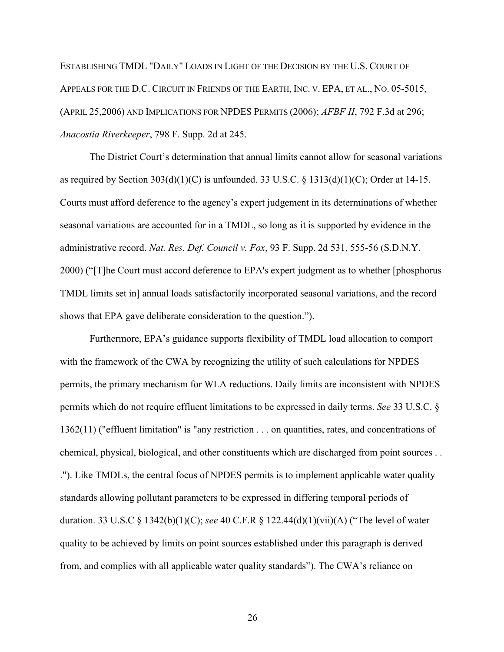ESTABLISHING TMDL "DAILY" LOADS IN LIGHT OF THE DECISION BY THE U.S. COURT OF APPEALS FOR THE D.C. CIRCUIT IN FRIENDS OF THE EARTH, INC. V. EPA, ET AL., NO. 05-5015, (APRIL 25,2006) AND IMPLICATIONS FOR NPDES PERMITS (2006); *AFBF II*, 792 F.3d at 296; *Anacostia Riverkeeper*, 798 F. Supp. 2d at 245.

The District Court's determination that annual limits cannot allow for seasonal variations as required by Section  $303(d)(1)(C)$  is unfounded. 33 U.S.C. § 1313(d)(1)(C); Order at 14-15. Courts must afford deference to the agency's expert judgement in its determinations of whether seasonal variations are accounted for in a TMDL, so long as it is supported by evidence in the administrative record. *Nat. Res. Def. Council v. Fox*, 93 F. Supp. 2d 531, 555-56 (S.D.N.Y. 2000) ("[T]he Court must accord deference to EPA's expert judgment as to whether [phosphorus TMDL limits set in] annual loads satisfactorily incorporated seasonal variations, and the record shows that EPA gave deliberate consideration to the question.").

Furthermore, EPA's guidance supports flexibility of TMDL load allocation to comport with the framework of the CWA by recognizing the utility of such calculations for NPDES permits, the primary mechanism for WLA reductions. Daily limits are inconsistent with NPDES permits which do not require effluent limitations to be expressed in daily terms. *See* 33 U.S.C. § 1362(11) ("effluent limitation" is "any restriction . . . on quantities, rates, and concentrations of chemical, physical, biological, and other constituents which are discharged from point sources . . ."). Like TMDLs, the central focus of NPDES permits is to implement applicable water quality standards allowing pollutant parameters to be expressed in differing temporal periods of duration. 33 U.S.C § 1342(b)(1)(C); *see* 40 C.F.R § 122.44(d)(1)(vii)(A) ("The level of water quality to be achieved by limits on point sources established under this paragraph is derived from, and complies with all applicable water quality standards"). The CWA's reliance on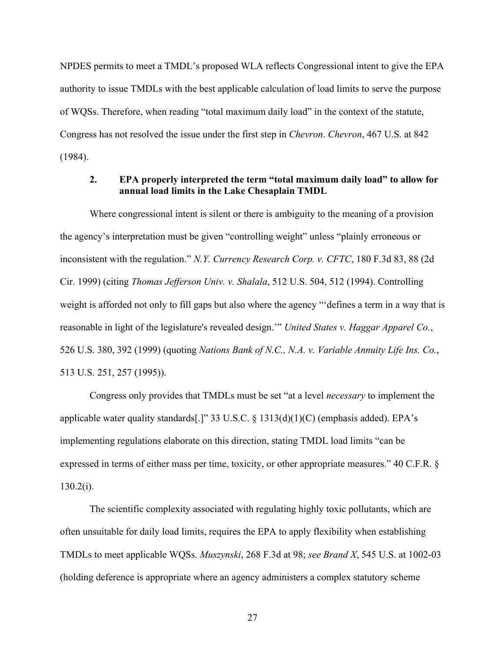NPDES permits to meet a TMDL's proposed WLA reflects Congressional intent to give the EPA authority to issue TMDLs with the best applicable calculation of load limits to serve the purpose of WQSs. Therefore, when reading "total maximum daily load" in the context of the statute, Congress has not resolved the issue under the first step in *Chevron*. *Chevron*, 467 U.S. at 842 (1984).

### **2. EPA properly interpreted the term "total maximum daily load" to allow for annual load limits in the Lake Chesaplain TMDL**

Where congressional intent is silent or there is ambiguity to the meaning of a provision the agency's interpretation must be given "controlling weight" unless "plainly erroneous or inconsistent with the regulation." *N.Y. Currency Research Corp. v. CFTC*, 180 F.3d 83, 88 (2d Cir. 1999) (citing *Thomas Jefferson Univ. v. Shalala*, 512 U.S. 504, 512 (1994). Controlling weight is afforded not only to fill gaps but also where the agency "'defines a term in a way that is reasonable in light of the legislature's revealed design.'" *United States v. Haggar Apparel Co.*, 526 U.S. 380, 392 (1999) (quoting *Nations Bank of N.C., N.A. v. Variable Annuity Life Ins. Co.*, 513 U.S. 251, 257 (1995)).

Congress only provides that TMDLs must be set "at a level *necessary* to implement the applicable water quality standards[.]" 33 U.S.C. § 1313(d)(1)(C) (emphasis added). EPA's implementing regulations elaborate on this direction, stating TMDL load limits "can be expressed in terms of either mass per time, toxicity, or other appropriate measures." 40 C.F.R. §  $130.2(i)$ .

The scientific complexity associated with regulating highly toxic pollutants, which are often unsuitable for daily load limits, requires the EPA to apply flexibility when establishing TMDLs to meet applicable WQSs. *Muszynski*, 268 F.3d at 98; *see Brand X*, 545 U.S. at 1002-03 (holding deference is appropriate where an agency administers a complex statutory scheme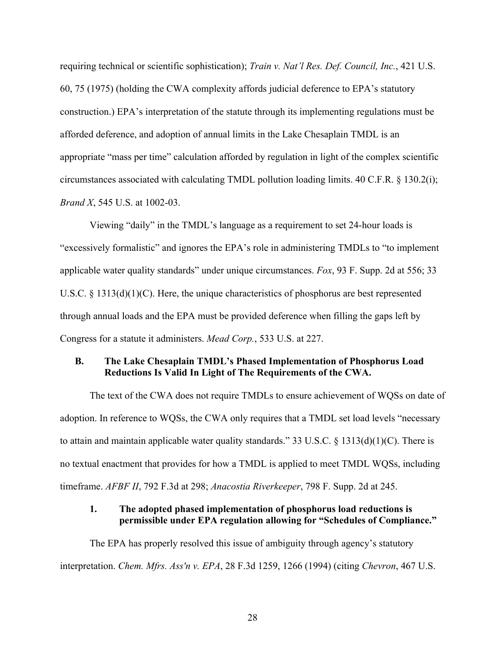requiring technical or scientific sophistication); *Train v. Nat'l Res. Def. Council, Inc.*, 421 U.S. 60, 75 (1975) (holding the CWA complexity affords judicial deference to EPA's statutory construction.) EPA's interpretation of the statute through its implementing regulations must be afforded deference, and adoption of annual limits in the Lake Chesaplain TMDL is an appropriate "mass per time" calculation afforded by regulation in light of the complex scientific circumstances associated with calculating TMDL pollution loading limits. 40 C.F.R. § 130.2(i); *Brand X*, 545 U.S. at 1002-03.

Viewing "daily" in the TMDL's language as a requirement to set 24-hour loads is "excessively formalistic" and ignores the EPA's role in administering TMDLs to "to implement applicable water quality standards" under unique circumstances. *Fox*, 93 F. Supp. 2d at 556; 33 U.S.C. § 1313(d)(1)(C). Here, the unique characteristics of phosphorus are best represented through annual loads and the EPA must be provided deference when filling the gaps left by Congress for a statute it administers. *Mead Corp.*, 533 U.S. at 227.

## **B. The Lake Chesaplain TMDL's Phased Implementation of Phosphorus Load Reductions Is Valid In Light of The Requirements of the CWA.**

The text of the CWA does not require TMDLs to ensure achievement of WQSs on date of adoption. In reference to WQSs, the CWA only requires that a TMDL set load levels "necessary to attain and maintain applicable water quality standards." 33 U.S.C. § 1313(d)(1)(C). There is no textual enactment that provides for how a TMDL is applied to meet TMDL WQSs, including timeframe. *AFBF II*, 792 F.3d at 298; *Anacostia Riverkeeper*, 798 F. Supp. 2d at 245.

## **1. The adopted phased implementation of phosphorus load reductions is permissible under EPA regulation allowing for "Schedules of Compliance."**

The EPA has properly resolved this issue of ambiguity through agency's statutory interpretation. *Chem. Mfrs. Ass'n v. EPA*, 28 F.3d 1259, 1266 (1994) (citing *Chevron*, 467 U.S.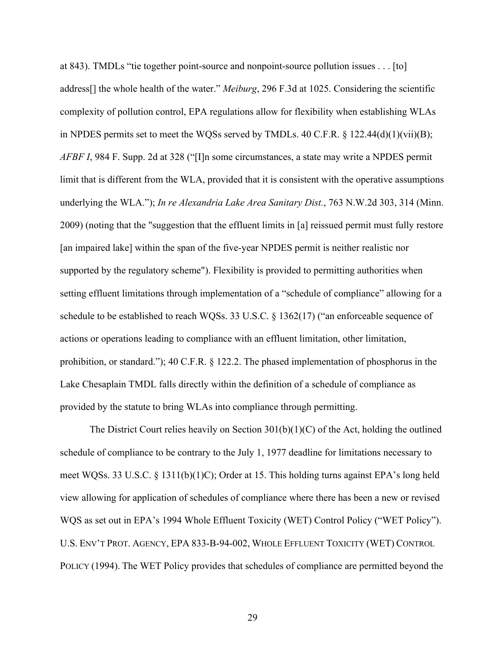at 843). TMDLs "tie together point-source and nonpoint-source pollution issues . . . [to] address[] the whole health of the water." *Meiburg*, 296 F.3d at 1025. Considering the scientific complexity of pollution control, EPA regulations allow for flexibility when establishing WLAs in NPDES permits set to meet the WQSs served by TMDLs. 40 C.F.R.  $\S$  122.44(d)(1)(vii)(B); *AFBF I*, 984 F. Supp. 2d at 328 ("[I]n some circumstances, a state may write a NPDES permit limit that is different from the WLA, provided that it is consistent with the operative assumptions underlying the WLA."); *In re Alexandria Lake Area Sanitary Dist.*, 763 N.W.2d 303, 314 (Minn. 2009) (noting that the "suggestion that the effluent limits in [a] reissued permit must fully restore [an impaired lake] within the span of the five-year NPDES permit is neither realistic nor supported by the regulatory scheme"). Flexibility is provided to permitting authorities when setting effluent limitations through implementation of a "schedule of compliance" allowing for a schedule to be established to reach WQSs. 33 U.S.C. § 1362(17) ("an enforceable sequence of actions or operations leading to compliance with an effluent limitation, other limitation, prohibition, or standard."); 40 C.F.R. § 122.2. The phased implementation of phosphorus in the Lake Chesaplain TMDL falls directly within the definition of a schedule of compliance as provided by the statute to bring WLAs into compliance through permitting.

The District Court relies heavily on Section 301(b)(1)(C) of the Act, holding the outlined schedule of compliance to be contrary to the July 1, 1977 deadline for limitations necessary to meet WQSs. 33 U.S.C. § 1311(b)(1)C); Order at 15. This holding turns against EPA's long held view allowing for application of schedules of compliance where there has been a new or revised WQS as set out in EPA's 1994 Whole Effluent Toxicity (WET) Control Policy ("WET Policy"). U.S. ENV'T PROT. AGENCY, EPA 833-B-94-002, WHOLE EFFLUENT TOXICITY (WET) CONTROL POLICY (1994). The WET Policy provides that schedules of compliance are permitted beyond the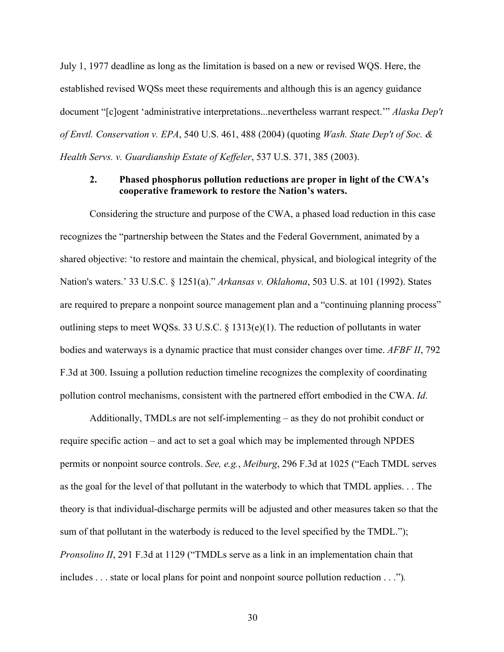July 1, 1977 deadline as long as the limitation is based on a new or revised WQS. Here, the established revised WQSs meet these requirements and although this is an agency guidance document "[c]ogent 'administrative interpretations...nevertheless warrant respect.'" *Alaska Dep't of Envtl. Conservation v. EPA*, 540 U.S. 461, 488 (2004) (quoting *Wash. State Dep't of Soc. & Health Servs. v. Guardianship Estate of Keffeler*, 537 U.S. 371, 385 (2003).

### **2. Phased phosphorus pollution reductions are proper in light of the CWA's cooperative framework to restore the Nation's waters.**

Considering the structure and purpose of the CWA, a phased load reduction in this case recognizes the "partnership between the States and the Federal Government, animated by a shared objective: 'to restore and maintain the chemical, physical, and biological integrity of the Nation's waters.' 33 U.S.C. § 1251(a)." *Arkansas v. Oklahoma*, 503 U.S. at 101 (1992). States are required to prepare a nonpoint source management plan and a "continuing planning process" outlining steps to meet WQSs. 33 U.S.C. § 1313(e)(1). The reduction of pollutants in water bodies and waterways is a dynamic practice that must consider changes over time. *AFBF II*, 792 F.3d at 300. Issuing a pollution reduction timeline recognizes the complexity of coordinating pollution control mechanisms, consistent with the partnered effort embodied in the CWA. *Id*.

Additionally, TMDLs are not self-implementing – as they do not prohibit conduct or require specific action – and act to set a goal which may be implemented through NPDES permits or nonpoint source controls. *See, e.g.*, *Meiburg*, 296 F.3d at 1025 ("Each TMDL serves as the goal for the level of that pollutant in the waterbody to which that TMDL applies. . . The theory is that individual-discharge permits will be adjusted and other measures taken so that the sum of that pollutant in the waterbody is reduced to the level specified by the TMDL."); *Pronsolino II*, 291 F.3d at 1129 ("TMDLs serve as a link in an implementation chain that includes . . . state or local plans for point and nonpoint source pollution reduction . . .")*.*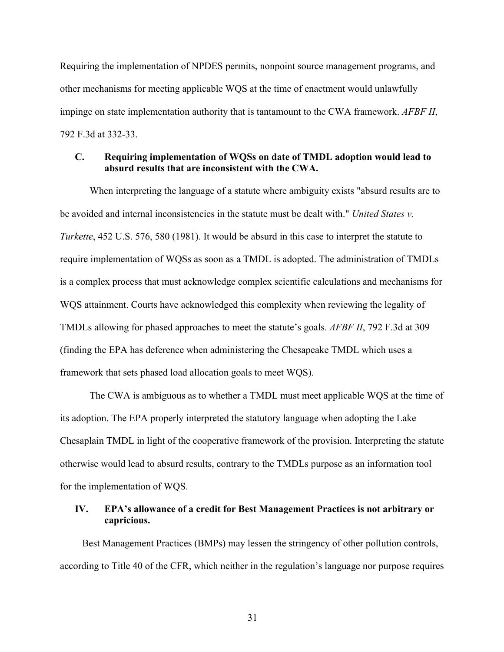Requiring the implementation of NPDES permits, nonpoint source management programs, and other mechanisms for meeting applicable WQS at the time of enactment would unlawfully impinge on state implementation authority that is tantamount to the CWA framework. *AFBF II*, 792 F.3d at 332-33.

### **C. Requiring implementation of WQSs on date of TMDL adoption would lead to absurd results that are inconsistent with the CWA.**

When interpreting the language of a statute where ambiguity exists "absurd results are to be avoided and internal inconsistencies in the statute must be dealt with." *United States v. Turkette*, 452 U.S. 576, 580 (1981). It would be absurd in this case to interpret the statute to require implementation of WQSs as soon as a TMDL is adopted. The administration of TMDLs is a complex process that must acknowledge complex scientific calculations and mechanisms for WQS attainment. Courts have acknowledged this complexity when reviewing the legality of TMDLs allowing for phased approaches to meet the statute's goals. *AFBF II*, 792 F.3d at 309 (finding the EPA has deference when administering the Chesapeake TMDL which uses a framework that sets phased load allocation goals to meet WQS).

The CWA is ambiguous as to whether a TMDL must meet applicable WQS at the time of its adoption. The EPA properly interpreted the statutory language when adopting the Lake Chesaplain TMDL in light of the cooperative framework of the provision. Interpreting the statute otherwise would lead to absurd results, contrary to the TMDLs purpose as an information tool for the implementation of WQS.

## **IV. EPA's allowance of a credit for Best Management Practices is not arbitrary or capricious.**

Best Management Practices (BMPs) may lessen the stringency of other pollution controls, according to Title 40 of the CFR, which neither in the regulation's language nor purpose requires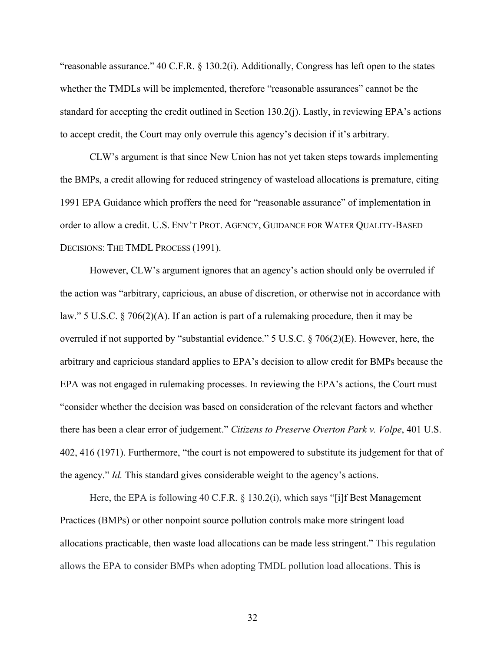"reasonable assurance." 40 C.F.R. § 130.2(i). Additionally, Congress has left open to the states whether the TMDLs will be implemented, therefore "reasonable assurances" cannot be the standard for accepting the credit outlined in Section 130.2(j). Lastly, in reviewing EPA's actions to accept credit, the Court may only overrule this agency's decision if it's arbitrary.

CLW's argument is that since New Union has not yet taken steps towards implementing the BMPs, a credit allowing for reduced stringency of wasteload allocations is premature, citing 1991 EPA Guidance which proffers the need for "reasonable assurance" of implementation in order to allow a credit. U.S. ENV'T PROT. AGENCY, GUIDANCE FOR WATER QUALITY-BASED DECISIONS: THE TMDL PROCESS (1991).

However, CLW's argument ignores that an agency's action should only be overruled if the action was "arbitrary, capricious, an abuse of discretion, or otherwise not in accordance with law." 5 U.S.C. § 706(2)(A). If an action is part of a rulemaking procedure, then it may be overruled if not supported by "substantial evidence." 5 U.S.C. § 706(2)(E). However, here, the arbitrary and capricious standard applies to EPA's decision to allow credit for BMPs because the EPA was not engaged in rulemaking processes. In reviewing the EPA's actions, the Court must "consider whether the decision was based on consideration of the relevant factors and whether there has been a clear error of judgement." *Citizens to Preserve Overton Park v. Volpe*, 401 U.S. 402, 416 (1971). Furthermore, "the court is not empowered to substitute its judgement for that of the agency." *Id.* This standard gives considerable weight to the agency's actions.

Here, the EPA is following 40 C.F.R. § 130.2(i), which says "[i]f Best Management Practices (BMPs) or other nonpoint source pollution controls make more stringent load allocations practicable, then waste load allocations can be made less stringent." This regulation allows the EPA to consider BMPs when adopting TMDL pollution load allocations. This is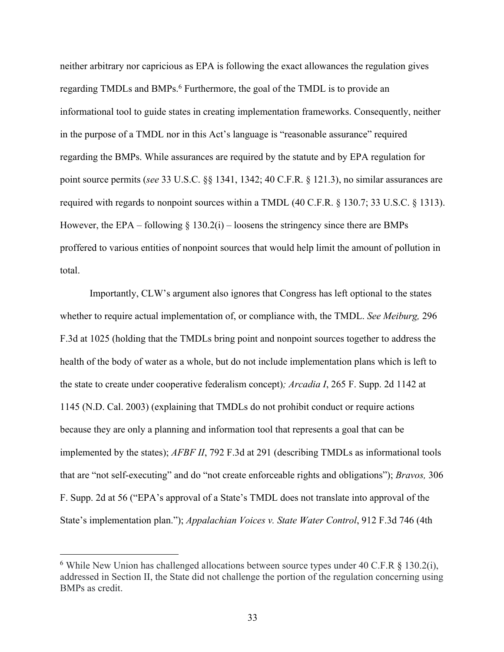neither arbitrary nor capricious as EPA is following the exact allowances the regulation gives regarding TMDLs and BMPs.<sup>6</sup> Furthermore, the goal of the TMDL is to provide an informational tool to guide states in creating implementation frameworks. Consequently, neither in the purpose of a TMDL nor in this Act's language is "reasonable assurance" required regarding the BMPs. While assurances are required by the statute and by EPA regulation for point source permits (*see* 33 U.S.C. §§ 1341, 1342; 40 C.F.R. § 121.3), no similar assurances are required with regards to nonpoint sources within a TMDL (40 C.F.R. § 130.7; 33 U.S.C. § 1313). However, the EPA – following  $\S$  130.2(i) – loosens the stringency since there are BMPs proffered to various entities of nonpoint sources that would help limit the amount of pollution in total.

Importantly, CLW's argument also ignores that Congress has left optional to the states whether to require actual implementation of, or compliance with, the TMDL. *See Meiburg,* 296 F.3d at 1025 (holding that the TMDLs bring point and nonpoint sources together to address the health of the body of water as a whole, but do not include implementation plans which is left to the state to create under cooperative federalism concept)*; Arcadia I*, 265 F. Supp. 2d 1142 at 1145 (N.D. Cal. 2003) (explaining that TMDLs do not prohibit conduct or require actions because they are only a planning and information tool that represents a goal that can be implemented by the states); *AFBF II*, 792 F.3d at 291 (describing TMDLs as informational tools that are "not self-executing" and do "not create enforceable rights and obligations"); *Bravos,* 306 F. Supp. 2d at 56 ("EPA's approval of a State's TMDL does not translate into approval of the State's implementation plan."); *Appalachian Voices v. State Water Control*, 912 F.3d 746 (4th

<sup>&</sup>lt;sup>6</sup> While New Union has challenged allocations between source types under 40 C.F.R  $\S$  130.2(i), addressed in Section II, the State did not challenge the portion of the regulation concerning using BMPs as credit.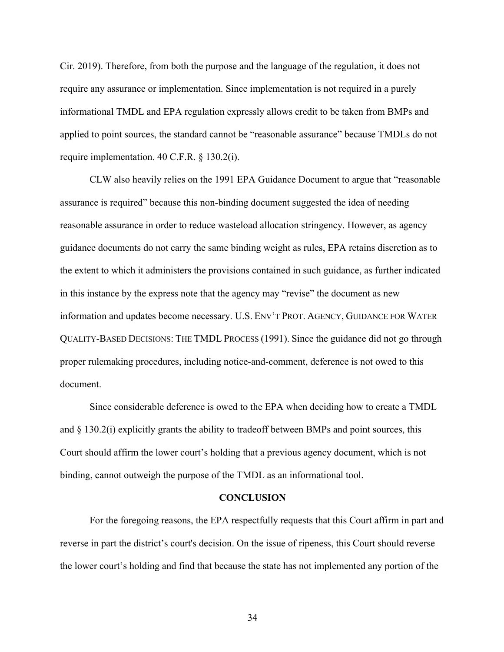Cir. 2019). Therefore, from both the purpose and the language of the regulation, it does not require any assurance or implementation. Since implementation is not required in a purely informational TMDL and EPA regulation expressly allows credit to be taken from BMPs and applied to point sources, the standard cannot be "reasonable assurance" because TMDLs do not require implementation. 40 C.F.R. § 130.2(i).

CLW also heavily relies on the 1991 EPA Guidance Document to argue that "reasonable assurance is required" because this non-binding document suggested the idea of needing reasonable assurance in order to reduce wasteload allocation stringency. However, as agency guidance documents do not carry the same binding weight as rules, EPA retains discretion as to the extent to which it administers the provisions contained in such guidance, as further indicated in this instance by the express note that the agency may "revise" the document as new information and updates become necessary. U.S. ENV'T PROT. AGENCY, GUIDANCE FOR WATER QUALITY-BASED DECISIONS: THE TMDL PROCESS (1991). Since the guidance did not go through proper rulemaking procedures, including notice-and-comment, deference is not owed to this document.

Since considerable deference is owed to the EPA when deciding how to create a TMDL and § 130.2(i) explicitly grants the ability to tradeoff between BMPs and point sources, this Court should affirm the lower court's holding that a previous agency document, which is not binding, cannot outweigh the purpose of the TMDL as an informational tool.

#### **CONCLUSION**

For the foregoing reasons, the EPA respectfully requests that this Court affirm in part and reverse in part the district's court's decision. On the issue of ripeness, this Court should reverse the lower court's holding and find that because the state has not implemented any portion of the